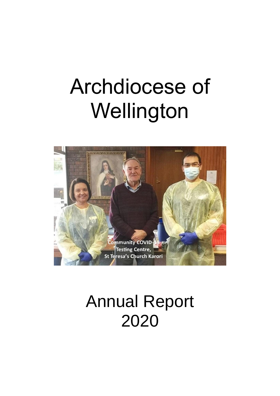# Archdiocese of Wellington



# Annual Report 2020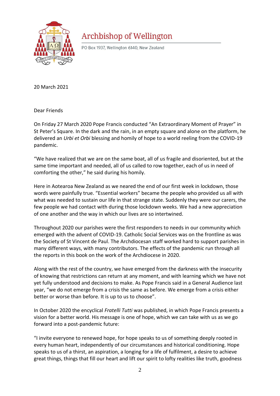

# **Archbishop of Wellington**

PO Box 1937, Wellington 6140, New Zealand

20 March 2021

Dear Friends

On Friday 27 March 2020 Pope Francis conducted "An Extraordinary Moment of Prayer" in St Peter's Square. In the dark and the rain, in an empty square and alone on the platform, he delivered an *Urbi et Orbi* blessing and homily of hope to a world reeling from the COVID-19 pandemic.

"We have realized that we are on the same boat, all of us fragile and disoriented, but at the same time important and needed, all of us called to row together, each of us in need of comforting the other," he said during his homily.

Here in Aotearoa New Zealand as we neared the end of our first week in lockdown, those words were painfully true. "Essential workers" became the people who provided us all with what was needed to sustain our life in that strange state. Suddenly they were our carers, the few people we had contact with during those lockdown weeks. We had a new appreciation of one another and the way in which our lives are so intertwined.

Throughout 2020 our parishes were the first responders to needs in our community which emerged with the advent of COVID-19. Catholic Social Services was on the frontline as was the Society of St Vincent de Paul. The Archdiocesan staff worked hard to support parishes in many different ways, with many contributors. The effects of the pandemic run through all the reports in this book on the work of the Archdiocese in 2020.

Along with the rest of the country, we have emerged from the darkness with the insecurity of knowing that restrictions can return at any moment, and with learning which we have not yet fully understood and decisions to make. As Pope Francis said in a General Audience last year, "we do not emerge from a crisis the same as before. We emerge from a crisis either better or worse than before. It is up to us to choose".

In October 2020 the encyclical *Fratelli Tutti* was published, in which Pope Francis presents a vision for a better world. His message is one of hope, which we can take with us as we go forward into a post-pandemic future:

"I invite everyone to renewed hope, for hope speaks to us of something deeply rooted in every human heart, independently of our circumstances and historical conditioning. Hope speaks to us of a thirst, an aspiration, a longing for a life of fulfilment, a desire to achieve great things, things that fill our heart and lift our spirit to lofty realities like truth, goodness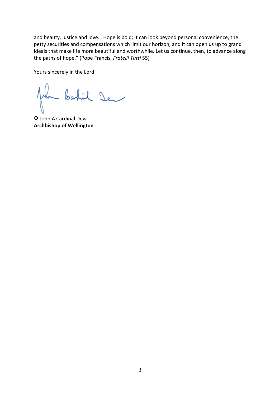and beauty, justice and love… Hope is bold; it can look beyond personal convenience, the petty securities and compensations which limit our horizon, and it can open us up to grand ideals that make life more beautiful and worthwhile. Let us continue, then, to advance along the paths of hope." (Pope Francis, *Fratelli Tutti* 55)

Yours sincerely in the Lord

- bastil Den

 John A Cardinal Dew **Archbishop of Wellington**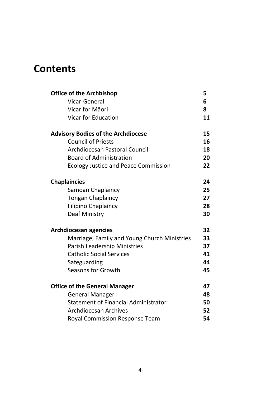# **Contents**

| <b>Office of the Archbishop</b>              | 5               |
|----------------------------------------------|-----------------|
| <b>Vicar-General</b>                         | 6               |
| Vicar for Māori                              | 8               |
| <b>Vicar for Education</b>                   | 11              |
| <b>Advisory Bodies of the Archdiocese</b>    | 15              |
| <b>Council of Priests</b>                    | 16              |
| <b>Archdiocesan Pastoral Council</b>         | 18              |
| <b>Board of Administration</b>               | 20              |
| <b>Ecology Justice and Peace Commission</b>  | 22              |
| <b>Chaplaincies</b>                          | 24              |
| Samoan Chaplaincy                            | 25              |
| <b>Tongan Chaplaincy</b>                     | 27              |
| <b>Filipino Chaplaincy</b>                   | 28              |
| <b>Deaf Ministry</b>                         | 30              |
| <b>Archdiocesan agencies</b>                 | 32 <sub>2</sub> |
| Marriage, Family and Young Church Ministries | 33              |
| <b>Parish Leadership Ministries</b>          | 37              |
| <b>Catholic Social Services</b>              | 41              |
| Safeguarding                                 | 44              |
| Seasons for Growth                           | 45              |
| <b>Office of the General Manager</b>         | 47              |
| <b>General Manager</b>                       | 48              |
| <b>Statement of Financial Administrator</b>  | 50              |
| <b>Archdiocesan Archives</b>                 | 52              |
| <b>Royal Commission Response Team</b>        | 54              |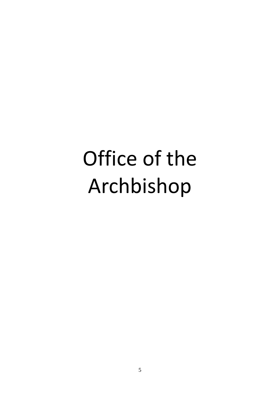# Office of the Archbishop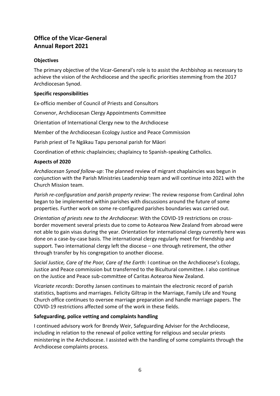# **Office of the Vicar-General Annual Report 2021**

#### **Objectives**

The primary objective of the Vicar-General's role is to assist the Archbishop as necessary to achieve the vision of the Archdiocese and the specific priorities stemming from the 2017 Archdiocesan Synod.

#### **Specific responsibilities**

Ex-officio member of Council of Priests and Consultors

Convenor, Archdiocesan Clergy Appointments Committee

Orientation of International Clergy new to the Archdiocese

Member of the Archdiocesan Ecology Justice and Peace Commission

Parish priest of Te Ngākau Tapu personal parish for Māori

Coordination of ethnic chaplaincies; chaplaincy to Spanish-speaking Catholics.

#### **Aspects of 2020**

*Archdiocesan Synod follow-up*: The planned review of migrant chaplaincies was begun in conjunction with the Parish Ministries Leadership team and will continue into 2021 with the Church Mission team.

*Parish re-configuration and parish property review*: The review response from Cardinal John began to be implemented within parishes with discussions around the future of some properties. Further work on some re-configured parishes boundaries was carried out.

*Orientation of priests new to the Archdiocese*: With the COVID-19 restrictions on crossborder movement several priests due to come to Aotearoa New Zealand from abroad were not able to gain visas during the year. Orientation for international clergy currently here was done on a case-by-case basis. The international clergy regularly meet for friendship and support. Two international clergy left the diocese – one through retirement, the other through transfer by his congregation to another diocese.

*Social Justice, Care of the Poor, Care of the Earth*: I continue on the Archdiocese's Ecology, Justice and Peace commission but transferred to the Bicultural committee. I also continue on the Justice and Peace sub-committee of Caritas Aotearoa New Zealand.

*Vicariate records*: Dorothy Jansen continues to maintain the electronic record of parish statistics, baptisms and marriages. Felicity Giltrap in the Marriage, Family Life and Young Church office continues to oversee marriage preparation and handle marriage papers. The COVID-19 restrictions affected some of the work in these fields.

#### **Safeguarding, police vetting and complaints handling**

I continued advisory work for Brendy Weir, Safeguarding Adviser for the Archdiocese, including in relation to the renewal of police vetting for religious and secular priests ministering in the Archdiocese. I assisted with the handling of some complaints through the Archdiocese complaints process.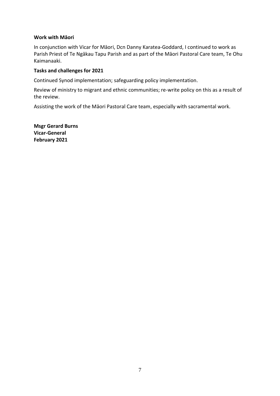#### **Work with Māori**

In conjunction with Vicar for Māori, Dcn Danny Karatea-Goddard, I continued to work as Parish Priest of Te Ngākau Tapu Parish and as part of the Māori Pastoral Care team, Te Ohu Kaimanaaki.

#### **Tasks and challenges for 2021**

Continued Synod implementation; safeguarding policy implementation.

Review of ministry to migrant and ethnic communities; re-write policy on this as a result of the review.

Assisting the work of the Māori Pastoral Care team, especially with sacramental work.

**Msgr Gerard Burns Vicar-General February 2021**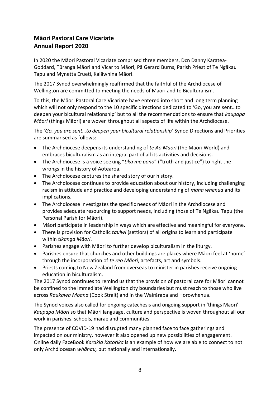# **Māori Pastoral Care Vicariate Annual Report 2020**

In 2020 the Māori Pastoral Vicariate comprised three members, Dcn Danny Karatea-Goddard, Tūranga Māori and Vicar to Māori, Pā Gerard Burns, Parish Priest of Te Ngākau Tapu and Mynetta Erueti, Kaiāwhina Māori.

The 2017 Synod overwhelmingly reaffirmed that the faithful of the Archdiocese of Wellington are committed to meeting the needs of Māori and to Biculturalism.

To this, the Māori Pastoral Care Vicariate have entered into short and long term planning which will not only respond to the 10 specific directions dedicated to 'Go, you are sent…to deepen your bicultural relationship' but to all the recommendations to ensure that *kaupapa Māori* (things Māori) are woven throughout all aspects of life within the Archdiocese.

The *'Go, you are sent…to deepen your bicultural relationship'* Synod Directions and Priorities are summarised as follows:

- The Archdiocese deepens its understanding of *te Ao Māori* (the Māori World) and embraces biculturalism as an integral part of all its activities and decisions.
- The Archdiocese is a voice seeking "*tika me pono*" ("truth and justice") to right the wrongs in the history of Aotearoa.
- The Archdiocese captures the shared story of our history.
- The Archdiocese continues to provide education about our history, including challenging racism in attitude and practice and developing understanding of *mana whenua* and its implications.
- The Archdiocese investigates the specific needs of Māori in the Archdiocese and provides adequate resourcing to support needs, including those of Te Ngākau Tapu (the Personal Parish for Māori).
- Māori participate in leadership in ways which are effective and meaningful for everyone.
- There is provision for Catholic *tauiwi* (settlors) of all origins to learn and participate within *tikanga Māori*.
- Parishes engage with Māori to further develop biculturalism in the liturgy.
- Parishes ensure that churches and other buildings are places where Māori feel at 'home' through the incorporation of *te reo Māori*, artefacts, art and symbols.
- Priests coming to New Zealand from overseas to minister in parishes receive ongoing education in biculturalism.

The 2017 Synod continues to remind us that the provision of pastoral care for Māori cannot be confined to the immediate Wellington city boundaries but must reach to those who live across *Raukawa Moana* (Cook Strait) and in the Wairārapa and Horowhenua.

The Synod voices also called for ongoing catechesis and ongoing support in 'things Māori' *Kaupapa Māori* so that Māori language, culture and perspective is woven throughout all our work in parishes, schools, marae and communities.

The presence of COVID-19 had disrupted many planned face to face gatherings and impacted on our ministry, however it also opened up new possibilities of engagement. Online daily FaceBook *Karakia Katorika* is an example of how we are able to connect to not only Archdiocesan *whānau,* but nationally and internationally.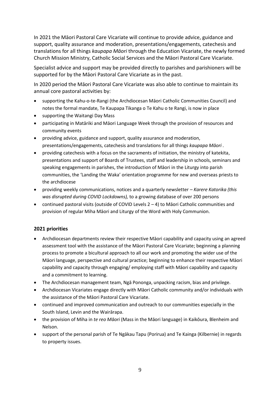In 2021 the Māori Pastoral Care Vicariate will continue to provide advice, guidance and support, quality assurance and moderation, presentations/engagements, catechesis and translations for all things *kaupapa Māori* through the Education Vicariate, the newly formed Church Mission Ministry, Catholic Social Services and the Māori Pastoral Care Vicariate.

Specialist advice and support may be provided directly to parishes and parishioners will be supported for by the Māori Pastoral Care Vicariate as in the past.

In 2020 period the Māori Pastoral Care Vicariate was also able to continue to maintain its annual core pastoral activities by:

- supporting the Kahu-o-te-Rangi (the Archdiocesan Māori Catholic Communities Council) and notes the formal mandate, Te Kaupapa Tikanga o Te Kahu o te Rangi, is now in place
- supporting the Waitangi Day Mass
- participating in Matāriki and Māori Language Week through the provision of resources and community events
- providing advice, guidance and support, quality assurance and moderation, presentations/engagements, catechesis and translations for all things *kaupapa Māori .*
- providing catechesis with a focus on the sacraments of initiation, the ministry of katekita, presentations and support of Boards of Trustees, staff and leadership in schools, seminars and speaking engagements in parishes, the introduction of Māori in the Liturgy into parish communities, the 'Landing the Waka' orientation programme for new and overseas priests to the archdiocese
- providing weekly communications, notices and a quarterly newsletter *– Karere Katorika (this was disrupted during COVID Lockdowns),* to a growing database of over 200 persons
- continued pastoral visits (outside of COVID Levels  $2 4$ ) to Māori Catholic communities and provision of regular Miha Māori and Liturgy of the Word with Holy Communion.

#### **2021 priorities**

- Archdiocesan departments review their respective Māori capability and capacity using an agreed assessment tool with the assistance of the Māori Pastoral Care Vicariate; beginning a planning process to promote a bicultural approach to all our work and promoting the wider use of the Māori language, perspective and cultural practice; beginning to enhance their respective Māori capability and capacity through engaging/ employing staff with Māori capability and capacity and a commitment to learning.
- The Archdiocesan management team, Ngā Pononga, unpacking racism, bias and privilege.
- Archdiocesan Vicariates engage directly with Māori Catholic community and/or individuals with the assistance of the Māori Pastoral Care Vicariate.
- continued and improved communication and outreach to our communities especially in the South Island, Levin and the Wairārapa.
- the provision of Miha in *te reo Māori* (Mass in the Māori language) in Kaikōura, Blenheim and Nelson.
- support of the personal parish of Te Ngākau Tapu (Porirua) and Te Kainga (Kilbernie) in regards to property issues.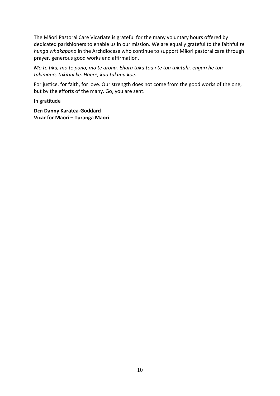The Māori Pastoral Care Vicariate is grateful for the many voluntary hours offered by dedicated parishioners to enable us in our mission. We are equally grateful to the faithful *te hunga whakapono* in the Archdiocese who continue to support Māori pastoral care through prayer, generous good works and affirmation.

*Mō te tika, mō te pono, mō te aroha. Ehara taku toa i te toa takitahi, engari he toa takimano, takitini ke. Haere, kua tukuna koe.* 

For justice, for faith, for love. Our strength does not come from the good works of the one, but by the efforts of the many. Go, you are sent.

In gratitude

**Dcn Danny Karatea-Goddard Vicar for Māori – Tūranga Māori**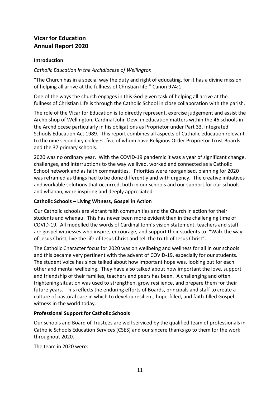### **Vicar for Education Annual Report 2020**

#### **Introduction**

#### *Catholic Education in the Archdiocese of Wellington*

"The Church has in a special way the duty and right of educating, for it has a divine mission of helping all arrive at the fullness of Christian life." Canon 974:1

One of the ways the church engages in this God-given task of helping all arrive at the fullness of Christian Life is through the Catholic School in close collaboration with the parish.

The role of the Vicar for Education is to directly represent, exercise judgement and assist the Archbishop of Wellington, Cardinal John Dew, in education matters within the 46 schools in the Archdiocese particularly in his obligations as Proprietor under Part 33, Integrated Schools Education Act 1989. This report combines all aspects of Catholic education relevant to the nine secondary colleges, five of whom have Religious Order Proprietor Trust Boards and the 37 primary schools.

2020 was no ordinary year. With the COVID-19 pandemic it was a year of significant change, challenges, and interruptions to the way we lived, worked and connected as a Catholic School network and as faith communities. Priorities were reorganised, planning for 2020 was reframed as things had to be done differently and with urgency. The creative initiatives and workable solutions that occurred, both in our schools and our support for our schools and whanau, were inspiring and deeply appreciated.

#### **Catholic Schools – Living Witness, Gospel in Action**

Our Catholic schools are vibrant faith communities and the Church in action for their students and whanau. This has never been more evident than in the challenging time of COVID-19. All modelled the words of Cardinal John's vision statement, teachers and staff are gospel witnesses who inspire, encourage, and support their students to: "Walk the way of Jesus Christ, live the life of Jesus Christ and tell the truth of Jesus Christ".

The Catholic Character focus for 2020 was on wellbeing and wellness for all in our schools and this became very pertinent with the advent of COVID-19, especially for our students. The student voice has since talked about how important hope was, looking out for each other and mental wellbeing. They have also talked about how important the love, support and friendship of their families, teachers and peers has been. A challenging and often frightening situation was used to strengthen, grow resilience, and prepare them for their future years. This reflects the enduring efforts of Boards, principals and staff to create a culture of pastoral care in which to develop resilient, hope-filled, and faith-filled Gospel witness in the world today.

#### **Professional Support for Catholic Schools**

Our schools and Board of Trustees are well serviced by the qualified team of professionals in Catholic Schools Education Services (CSES) and our sincere thanks go to them for the work throughout 2020.

The team in 2020 were: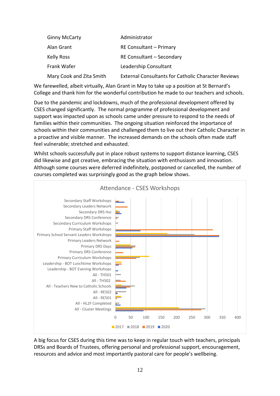| <b>Ginny McCarty</b>     | Administrator                                              |
|--------------------------|------------------------------------------------------------|
| Alan Grant               | RE Consultant - Primary                                    |
| Kelly Ross               | RE Consultant - Secondary                                  |
| Frank Wafer              | Leadership Consultant                                      |
| Mary Cook and Zita Smith | <b>External Consultants for Catholic Character Reviews</b> |

We farewelled, albeit virtually, Alan Grant in May to take up a position at St Bernard's College and thank him for the wonderful contribution he made to our teachers and schools.

Due to the pandemic and lockdowns, much of the professional development offered by CSES changed significantly. The normal programme of professional development and support was impacted upon as schools came under pressure to respond to the needs of families within their communities. The ongoing situation reinforced the importance of schools within their communities and challenged them to live out their Catholic Character in a proactive and visible manner. The increased demands on the schools often made staff feel vulnerable; stretched and exhausted.

Whilst schools successfully put in place robust systems to support distance learning, CSES did likewise and got creative, embracing the situation with enthusiasm and innovation. Although some courses were deferred indefinitely, postponed or cancelled, the number of courses completed was surprisingly good as the graph below shows.



A big focus for CSES during this time was to keep in regular touch with teachers, principals DRSs and Boards of Trustees, offering personal and professional support, encouragement, resources and advice and most importantly pastoral care for people's wellbeing.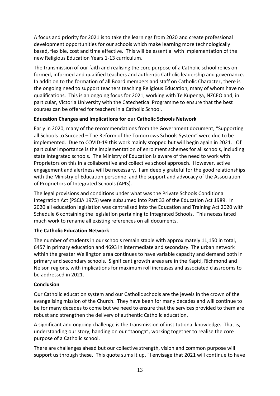A focus and priority for 2021 is to take the learnings from 2020 and create professional development opportunities for our schools which make learning more technologically based, flexible, cost and time effective. This will be essential with implementation of the new Religious Education Years 1-13 curriculum.

The transmission of our faith and realising the core purpose of a Catholic school relies on formed, informed and qualified teachers and authentic Catholic leadership and governance. In addition to the formation of all Board members and staff on Catholic Character, there is the ongoing need to support teachers teaching Religious Education, many of whom have no qualifications. This is an ongoing focus for 2021, working with Te Kupenga, NZCEO and, in particular, Victoria University with the Catechetical Programme to ensure that the best courses can be offered for teachers in a Catholic School.

#### **Education Changes and Implications for our Catholic Schools Network**

Early in 2020, many of the recommendations from the Government document, "Supporting all Schools to Succeed – The Reform of the Tomorrows Schools System" were due to be implemented. Due to COVID-19 this work mainly stopped but will begin again in 2021. Of particular importance is the implementation of enrolment schemes for all schools, including state integrated schools. The Ministry of Education is aware of the need to work with Proprietors on this in a collaborative and collective school approach. However, active engagement and alertness will be necessary. I am deeply grateful for the good relationships with the Ministry of Education personnel and the support and advocacy of the Association of Proprietors of Integrated Schools (APIS).

The legal provisions and conditions under what was the Private Schools Conditional Integration Act (PSCIA 1975) were subsumed into Part 33 of the Education Act 1989. In 2020 all education legislation was centralised into the Education and Training Act 2020 with Schedule 6 containing the legislation pertaining to Integrated Schools. This necessitated much work to rename all existing references on all documents.

#### **The Catholic Education Network**

The number of students in our schools remain stable with approximately 11,150 in total, 6457 in primary education and 4693 in intermediate and secondary. The urban network within the greater Wellington area continues to have variable capacity and demand both in primary and secondary schools. Significant growth areas are in the Kapiti, Richmond and Nelson regions, with implications for maximum roll increases and associated classrooms to be addressed in 2021.

#### **Conclusion**

Our Catholic education system and our Catholic schools are the jewels in the crown of the evangelising mission of the Church. They have been for many decades and will continue to be for many decades to come but we need to ensure that the services provided to them are robust and strengthen the delivery of authentic Catholic education.

A significant and ongoing challenge is the transmission of institutional knowledge. That is, understanding our story, handing on our "taonga", working together to realise the core purpose of a Catholic school.

There are challenges ahead but our collective strength, vision and common purpose will support us through these. This quote sums it up, "I envisage that 2021 will continue to have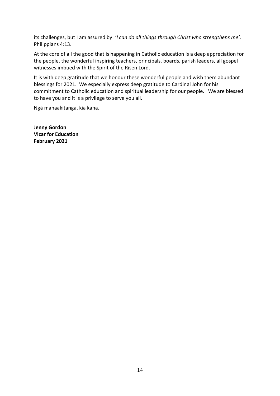its challenges, but I am assured by: '*I can do all things through Christ who strengthens me'.* Philippians 4:13.

At the core of all the good that is happening in Catholic education is a deep appreciation for the people, the wonderful inspiring teachers, principals, boards, parish leaders, all gospel witnesses imbued with the Spirit of the Risen Lord.

It is with deep gratitude that we honour these wonderful people and wish them abundant blessings for 2021. We especially express deep gratitude to Cardinal John for his commitment to Catholic education and spiritual leadership for our people. We are blessed to have you and it is a privilege to serve you all.

Ngā manaakitanga, kia kaha.

**Jenny Gordon Vicar for Education February 2021**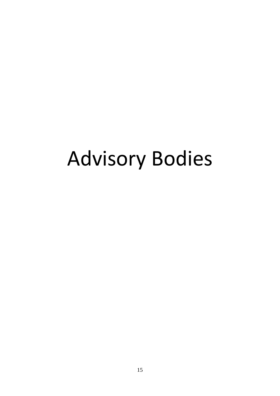# Advisory Bodies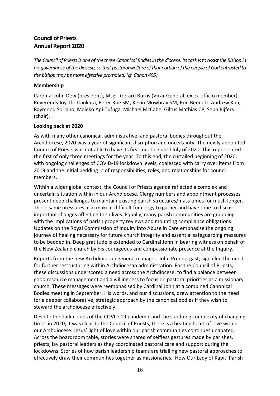# **Council of Priests Annual Report 2020**

*The Council of Priests is one of the three Canonical Bodies in the diocese. Its task is to assist the Bishop in his governance of the diocese, so that pastoral welfare of that portion of the people of God entrusted to the bishop may be more effective promoted. (cf. Canon 495).*

#### **Membership**

Cardinal John Dew (president), Msgr. Gerard Burns (Vicar General, ex ex-officio member), Reverends Joy Thottankara, Peter Roe SM, Kevin Mowbray SM, Ron Bennett, Andrew Kim, Raymond Soriano, Maleko Api-Tufuga, Michael McCabe, Giltus Mathias CP, Seph Pijfers (chair).

#### **Looking back at 2020**

As with many other canonical, administrative, and pastoral bodies throughout the Archdiocese, 2020 was a year of significant disruption and uncertainty. The newly appointed Council of Priests was not able to have its first meeting until July of 2020. This represented the first of only three meetings for the year. To this end, the curtailed beginning of 2020, with ongoing challenges of COVID-19 lockdown levels, coalesced with carry over items from 2019 and the initial bedding in of responsibilities, roles, and relationships for council members.

Within a wider global context, the Council of Priests agenda reflected a complex and uncertain situation within in our Archdiocese. Clergy numbers and appointment processes present deep challenges to maintain existing parish structures/mass times for much longer. These same pressures also make it difficult for clergy to gather and have time to discuss important changes affecting their lives. Equally, many parish communities are grappling with the implications of parish property reviews and mounting compliance obligations. Updates on the Royal Commission of Inquiry into Abuse in Care emphasise the ongoing journey of healing necessary for future church integrity and essential safeguarding measures to be bedded in. Deep gratitude is extended to Cardinal John in bearing witness on behalf of the New Zealand church by his courageous and compassionate presence at the Inquiry.

Reports from the new Archdiocesan general manager, John Prendergast, signalled the need for further restructuring within Archdiocesan administration. For the Council of Priests, these discussions underscored a need across the Archdiocese, to find a balance between good resource management and a willingness to focus on pastoral priorities as a missionary church. These messages were reemphasised by Cardinal John at a combined Canonical Bodies meeting in September. His words, and our discussions, drew attention to the need for a deeper collaborative, strategic approach by the canonical bodies if they wish to steward the archdiocese effectively.

Despite the dark clouds of the COVID-19 pandemic and the subduing complexity of changing times in 2020, it was clear to the Council of Priests, there is a beating heart of love within our Archdiocese. Jesus' light of love within our parish communities continues unabated. Across the boardroom table, stories were shared of selfless gestures made by parishes, priests, lay pastoral leaders as they coordinated pastoral care and support during the lockdowns. Stories of how parish leadership teams are trialling new pastoral approaches to effectively draw their communities together as missionaries. How Our Lady of Kapiti Parish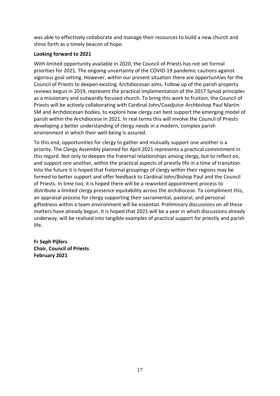was able to effectively collaborate and manage their resources to build a new church and shine forth as a timely beacon of hope.

#### **Looking forward to 2021**

With limited opportunity available in 2020, the Council of Priests has not set formal priorities for 2021. The ongoing uncertainty of the COVID-19 pandemic cautions against vigorous goal setting. However, within our present situation there are opportunities for the Council of Priests to deepen existing Archdiocesan aims. Follow up of the parish property reviews begun in 2019, represent the practical implementation of the 2017 Synod principles as a missionary and outwardly focused church. To bring this work to fruition, the Council of Priests will be actively collaborating with Cardinal John/Coadjutor Archbishop Paul Martin SM and Archdiocesan bodies, to explore how clergy can best support the emerging model of parish within the Archdiocese in 2021. In real terms this will involve the Council of Priests developing a better understanding of clergy needs in a modern, complex parish environment in which their well-being is assured.

To this end, opportunities for clergy to gather and mutually support one another is a priority. The Clergy Assembly planned for April 2021 represents a practical commitment in this regard. Not only to deepen the fraternal relationships among clergy, but to reflect on, and support one another, within the practical aspects of priestly life in a time of transition. Into the future it is hoped that fraternal groupings of clergy within their regions may be formed to better support and offer feedback to Cardinal John/Bishop Paul and the Council of Priests. In time too, it is hoped there will be a reworked appointment process to distribute a limited clergy presence equitability across the archdiocese. To compliment this, an appraisal process for clergy supporting their sacramental, pastoral, and personal giftedness within a team environment will be essential. Preliminary discussions on all these matters have already begun. It is hoped that 2021 will be a year in which discussions already underway, will be realised into tangible examples of practical support for priestly and parish life.

**Fr Seph Pijfers Chair, Council of Priests February 2021**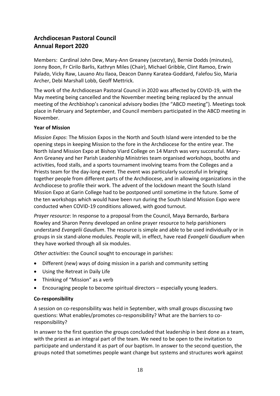# **Archdiocesan Pastoral Council Annual Report 2020**

Members: Cardinal John Dew, Mary-Ann Greaney (secretary), Bernie Dodds (minutes), Jonny Boon, Fr Cirilo Barlis, Kathryn Miles (Chair), Michael Gribble, Clint Ramoo, Erwin Palado, Vicky Raw, Lauano Atu Ilaoa, Deacon Danny Karatea-Goddard, Falefou Sio, Maria Archer, Debi Marshall Lobb, Geoff Mettrick.

The work of the Archdiocesan Pastoral Council in 2020 was affected by COVID-19, with the May meeting being cancelled and the November meeting being replaced by the annual meeting of the Archbishop's canonical advisory bodies (the "ABCD meeting"). Meetings took place in February and September, and Council members participated in the ABCD meeting in November.

#### **Year of Mission**

*Mission Expos*: The Mission Expos in the North and South Island were intended to be the opening steps in keeping Mission to the fore in the Archdiocese for the entire year. The North Island Mission Expo at Bishop Viard College on 14 March was very successful. Mary-Ann Greaney and her Parish Leadership Ministries team organised workshops, booths and activities, food stalls, and a sports tournament involving teams from the Colleges and a Priests team for the day-long event. The event was particularly successful in bringing together people from different parts of the Archdiocese, and in allowing organizations in the Archdiocese to profile their work. The advent of the lockdown meant the South Island Mission Expo at Garin College had to be postponed until sometime in the future. Some of the ten workshops which would have been run during the South Island Mission Expo were conducted when COVID-19 conditions allowed, with good turnout.

*Prayer resource*: In response to a proposal from the Council, Maya Bernardo, Barbara Rowley and Sharon Penny developed an online prayer resource to help parishioners understand *Evangelii Gaudium*. The resource is simple and able to be used individually or in groups in six stand-alone modules. People will, in effect, have read *Evangelii Gaudium* when they have worked through all six modules.

*Other activities*: the Council sought to encourage in parishes:

- Different (new) ways of doing mission in a parish and community setting
- Using the Retreat in Daily Life
- Thinking of "Mission" as a verb
- Encouraging people to become spiritual directors especially young leaders.

#### **Co-responsibility**

A session on co-responsibility was held in September, with small groups discussing two questions: What enables/promotes co-responsibility? What are the barriers to coresponsibility?

In answer to the first question the groups concluded that leadership in best done as a team, with the priest as an integral part of the team. We need to be open to the invitation to participate and understand it as part of our baptism. In answer to the second question, the groups noted that sometimes people want change but systems and structures work against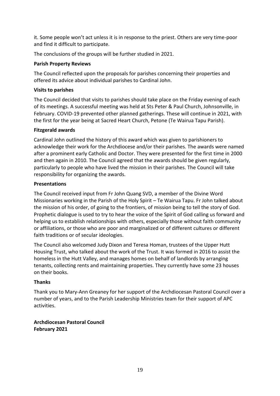it. Some people won't act unless it is in response to the priest. Others are very time-poor and find it difficult to participate.

The conclusions of the groups will be further studied in 2021.

#### **Parish Property Reviews**

The Council reflected upon the proposals for parishes concerning their properties and offered its advice about individual parishes to Cardinal John.

#### **Visits to parishes**

The Council decided that visits to parishes should take place on the Friday evening of each of its meetings. A successful meeting was held at Sts Peter & Paul Church, Johnsonville, in February. COVID-19 prevented other planned gatherings. These will continue in 2021, with the first for the year being at Sacred Heart Church, Petone (Te Wairua Tapu Parish).

#### **Fitzgerald awards**

Cardinal John outlined the history of this award which was given to parishioners to acknowledge their work for the Archdiocese and/or their parishes. The awards were named after a prominent early Catholic and Doctor. They were presented for the first time in 2000 and then again in 2010. The Council agreed that the awards should be given regularly, particularly to people who have lived the mission in their parishes. The Council will take responsibility for organizing the awards.

#### **Presentations**

The Council received input from Fr John Quang SVD, a member of the Divine Word Missionaries working in the Parish of the Holy Spirit – Te Wairua Tapu. Fr John talked about the mission of his order, of going to the frontiers, of mission being to tell the story of God. Prophetic dialogue is used to try to hear the voice of the Spirit of God calling us forward and helping us to establish relationships with others, especially those without faith community or affiliations, or those who are poor and marginalized or of different cultures or different faith traditions or of secular ideologies.

The Council also welcomed Judy Dixon and Teresa Homan, trustees of the Upper Hutt Housing Trust, who talked about the work of the Trust. It was formed in 2016 to assist the homeless in the Hutt Valley, and manages homes on behalf of landlords by arranging tenants, collecting rents and maintaining properties. They currently have some 23 houses on their books.

#### **Thanks**

Thank you to Mary-Ann Greaney for her support of the Archdiocesan Pastoral Council over a number of years, and to the Parish Leadership Ministries team for their support of APC activities.

**Archdiocesan Pastoral Council February 2021**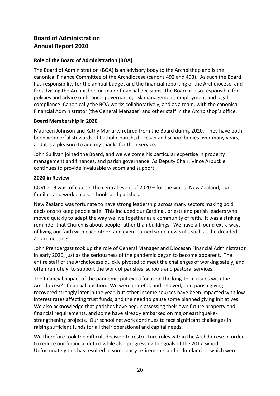# **Board of Administration Annual Report 2020**

#### **Role of the Board of Administration (BOA)**

The Board of Administration (BOA) is an advisory body to the Archbishop and is the canonical Finance Committee of the Archdiocese (canons 492 and 493). As such the Board has responsibility for the annual budget and the financial reporting of the Archdiocese, and for advising the Archbishop on major financial decisions. The Board is also responsible for policies and advice on finance, governance, risk management, employment and legal compliance. Canonically the BOA works collaboratively, and as a team, with the canonical Financial Administrator (the General Manager) and other staff in the Archbishop's office.

#### **Board Membership in 2020**

Maureen Johnson and Kathy Moriarty retired from the Board during 2020. They have both been wonderful stewards of Catholic parish, diocesan and school bodies over many years, and it is a pleasure to add my thanks for their service.

John Sullivan joined the Board, and we welcome his particular expertise in property management and finances, and parish governance. As Deputy Chair, Vince Arbuckle continues to provide invaluable wisdom and support.

#### **2020 in Review**

COVID-19 was, of course, the central event of 2020 – for the world, New Zealand, our families and workplaces, schools and parishes.

New Zealand was fortunate to have strong leadership across many sectors making bold decisions to keep people safe. This included our Cardinal, priests and parish leaders who moved quickly to adapt the way we live together as a community of faith. It was a striking reminder that Church is about people rather than buildings. We have all found extra ways of living our faith with each other, and even learned some new skills such as the dreaded Zoom meetings.

John Prendergast took up the role of General Manager and Diocesan Financial Administrator in early 2020, just as the seriousness of the pandemic began to become apparent. The entire staff of the Archdiocese quickly pivoted to meet the challenges of working safely, and often remotely, to support the work of parishes, schools and pastoral services.

The financial impact of the pandemic put extra focus on the long-term issues with the Archdiocese's financial position. We were grateful, and relieved, that parish giving recovered strongly later in the year, but other income sources have been impacted with low interest rates affecting trust funds, and the need to pause some planned giving initiatives. We also acknowledge that parishes have begun assessing their own future property and financial requirements, and some have already embarked on major earthquakestrengthening projects. Our school network continues to face significant challenges in raising sufficient funds for all their operational and capital needs.

We therefore took the difficult decision to restructure roles within the Archdiocese in order to reduce our financial deficit while also progressing the goals of the 2017 Synod. Unfortunately this has resulted in some early retirements and redundancies, which were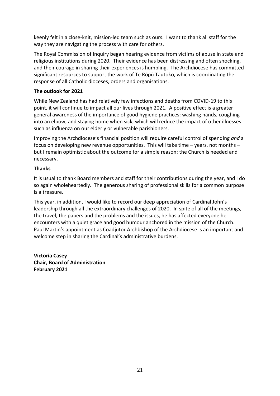keenly felt in a close-knit, mission-led team such as ours. I want to thank all staff for the way they are navigating the process with care for others.

The Royal Commission of Inquiry began hearing evidence from victims of abuse in state and religious institutions during 2020. Their evidence has been distressing and often shocking, and their courage in sharing their experiences is humbling. The Archdiocese has committed significant resources to support the work of Te Rōpū Tautoko, which is coordinating the response of all Catholic dioceses, orders and organisations.

#### **The outlook for 2021**

While New Zealand has had relatively few infections and deaths from COVID-19 to this point, it will continue to impact all our lives through 2021. A positive effect is a greater general awareness of the importance of good hygiene practices: washing hands, coughing into an elbow, and staying home when sick, which will reduce the impact of other illnesses such as influenza on our elderly or vulnerable parishioners.

Improving the Archdiocese's financial position will require careful control of spending *and* a focus on developing new revenue opportunities. This will take time – years, not months – but I remain optimistic about the outcome for a simple reason: the Church is needed and necessary.

#### **Thanks**

It is usual to thank Board members and staff for their contributions during the year, and I do so again wholeheartedly. The generous sharing of professional skills for a common purpose is a treasure.

This year, in addition, I would like to record our deep appreciation of Cardinal John's leadership through all the extraordinary challenges of 2020. In spite of all of the meetings, the travel, the papers and the problems and the issues, he has affected everyone he encounters with a quiet grace and good humour anchored in the mission of the Church. Paul Martin's appointment as Coadjutor Archbishop of the Archdiocese is an important and welcome step in sharing the Cardinal's administrative burdens.

**Victoria Casey Chair, Board of Administration February 2021**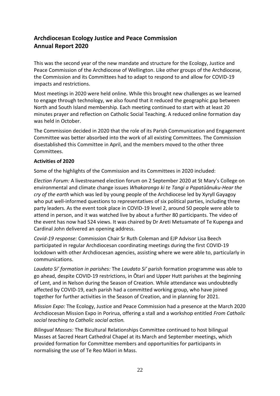# **Archdiocesan Ecology Justice and Peace Commission Annual Report 2020**

This was the second year of the new mandate and structure for the Ecology, Justice and Peace Commission of the Archdiocese of Wellington. Like other groups of the Archdiocese, the Commission and its Committees had to adapt to respond to and allow for COVID-19 impacts and restrictions.

Most meetings in 2020 were held online. While this brought new challenges as we learned to engage through technology, we also found that it reduced the geographic gap between North and South Island membership. Each meeting continued to start with at least 20 minutes prayer and reflection on Catholic Social Teaching. A reduced online formation day was held in October.

The Commission decided in 2020 that the role of its Parish Communication and Engagement Committee was better absorbed into the work of all existing Committees. The Commission disestablished this Committee in April, and the members moved to the other three Committees.

#### **Activities of 2020**

Some of the highlights of the Commission and its Committees in 2020 included:

*Election Forum:* A livestreamed election forum on 2 September 2020 at St Mary's College on environmental and climate change issues *Whakarongo ki te Tangi a Papatūānuku-Hear the cry of the earth* which was led by young people of the Archdiocese led by Xyryll Gayagoy who put well-informed questions to representatives of six political parties, including three party leaders. As the event took place in COVID-19 level 2, around 50 people were able to attend in person, and it was watched live by about a further 80 participants. The video of the event has now had 524 views. It was chaired by Dr Areti Metuamate of Te Kupenga and Cardinal John delivered an opening address.

*Covid-19 response:* Commission Chair Sr Ruth Coleman and EJP Advisor Lisa Beech participated in regular Archdiocesan coordinating meetings during the first COVID-19 lockdown with other Archdiocesan agencies, assisting where we were able to, particularly in communications.

*Laudato Si' formation in parishes:* The *Laudato Si'* parish formation programme was able to go ahead, despite COVID-19 restrictions, in Ōtari and Upper Hutt parishes at the beginning of Lent, and in Nelson during the Season of Creation. While attendance was undoubtedly affected by COVID-19, each parish had a committed working group, who have joined together for further activities in the Season of Creation, and in planning for 2021.

*Mission Expo:* The Ecology, Justice and Peace Commission had a presence at the March 2020 Archdiocesan Mission Expo in Porirua, offering a stall and a workshop entitled *From Catholic social teaching to Catholic social action.*

*Bilingual Masses:* The Bicultural Relationships Committee continued to host bilingual Masses at Sacred Heart Cathedral Chapel at its March and September meetings, which provided formation for Committee members and opportunities for participants in normalising the use of Te Reo Māori in Mass.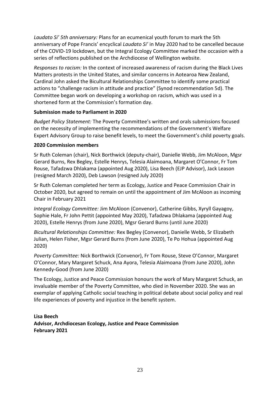*Laudato Si' 5th anniversary:* Plans for an ecumenical youth forum to mark the 5th anniversary of Pope Francis' encyclical *Laudato Si'* in May 2020 had to be cancelled because of the COVID-19 lockdown, but the Integral Ecology Committee marked the occasion with a series of reflections published on the Archdiocese of Wellington website.

*Responses to racism:* In the context of increased awareness of racism during the Black Lives Matters protests in the United States, and similar concerns in Aotearoa New Zealand, Cardinal John asked the Bicultural Relationships Committee to identify some practical actions to "challenge racism in attitude and practice" (Synod recommendation 5d). The Committee began work on developing a workshop on racism, which was used in a shortened form at the Commission's formation day.

#### **Submission made to Parliament in 2020**

*Budget Policy Statement:* The Poverty Committee's written and orals submissions focused on the necessity of implementing the recommendations of the Government's Welfare Expert Advisory Group to raise benefit levels, to meet the Government's child poverty goals.

#### **2020 Commission members**

Sr Ruth Coleman (chair), Nick Borthwick (deputy-chair), Danielle Webb, Jim McAloon, Mgsr Gerard Burns, Rex Begley, Estelle Henrys, Telesia Alaimoana, Margaret O'Connor, Fr Tom Rouse, Tafadzwa Dhlakama (appointed Aug 2020), Lisa Beech (EJP Advisor), Jack Leason (resigned March 2020), Deb Lawson (resigned July 2020)

Sr Ruth Coleman completed her term as Ecology, Justice and Peace Commission Chair in October 2020, but agreed to remain on until the appointment of Jim McAloon as incoming Chair in February 2021

*Integral Ecology Committee:* Jim McAloon (Convenor), Catherine Gibbs, Xyryll Gayagoy, Sophie Hale, Fr John Pettit (appointed May 2020), Tafadzwa Dhlakama (appointed Aug 2020), Estelle Henrys (from June 2020), Mgsr Gerard Burns (until June 2020)

*Bicultural Relationships Committee:* Rex Begley (Convenor), Danielle Webb, Sr Elizabeth Julian, Helen Fisher, Mgsr Gerard Burns (from June 2020), Te Po Hohua (appointed Aug 2020)

*Poverty Committee:* Nick Borthwick (Convenor), Fr Tom Rouse, Steve O'Connor, Margaret O'Connor, Mary Margaret Schuck, Ana Ayora, Telesia Alaimoana (from June 2020), John Kennedy-Good (from June 2020)

The Ecology, Justice and Peace Commission honours the work of Mary Margaret Schuck, an invaluable member of the Poverty Committee, who died in November 2020. She was an exemplar of applying Catholic social teaching in political debate about social policy and real life experiences of poverty and injustice in the benefit system.

**Lisa Beech Advisor, Archdiocesan Ecology, Justice and Peace Commission February 2021**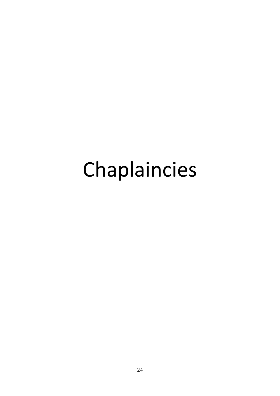# Chaplaincies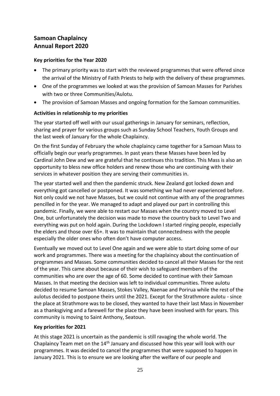# **Samoan Chaplaincy Annual Report 2020**

#### **Key priorities for the Year 2020**

- The primary priority was to start with the reviewed programmes that were offered since the arrival of the Ministry of Faith Priests to help with the delivery of these programmes.
- One of the programmes we looked at was the provision of Samoan Masses for Parishes with two or three Communities/Aulotu.
- The provision of Samoan Masses and ongoing formation for the Samoan communities.

#### **Activities in relationship to my priorities**

The year started off well with our usual gatherings in January for seminars, reflection, sharing and prayer for various groups such as Sunday School Teachers, Youth Groups and the last week of January for the whole Chaplaincy.

On the first Sunday of February the whole chaplaincy came together for a Samoan Mass to officially begin our yearly programmes. In past years these Masses have been led by Cardinal John Dew and we are grateful that he continues this tradition. This Mass is also an opportunity to bless new office holders and renew those who are continuing with their services in whatever position they are serving their communities in.

The year started well and then the pandemic struck. New Zealand got locked down and everything got cancelled or postponed. It was something we had never experienced before. Not only could we not have Masses, but we could not continue with any of the programmes pencilled in for the year. We managed to adapt and played our part in controlling this pandemic. Finally, we were able to restart our Masses when the country moved to Level One, but unfortunately the decision was made to move the country back to Level Two and everything was put on hold again. During the Lockdown I started ringing people, especially the elders and those over 65+. It was to maintain that connectedness with the people especially the older ones who often don't have computer access.

Eventually we moved out to Level One again and we were able to start doing some of our work and programmes. There was a meeting for the chaplaincy about the continuation of programmes and Masses. Some communities decided to cancel all their Masses for the rest of the year. This came about because of their wish to safeguard members of the communities who are over the age of 60. Some decided to continue with their Samoan Masses. In that meeting the decision was left to individual communities. Three aulotu decided to resume Samoan Masses, Stokes Valley, Naenae and Porirua while the rest of the aulotus decided to postpone theirs until the 2021. Except for the Strathmore aulotu - since the place at Strathmore was to be closed, they wanted to have their last Mass in November as a thanksgiving and a farewell for the place they have been involved with for years. This community is moving to Saint Anthony, Seatoun.

#### **Key priorities for 2021**

At this stage 2021 is uncertain as the pandemic is still ravaging the whole world. The Chaplaincy Team met on the 14<sup>th</sup> January and discussed how this year will look with our programmes. It was decided to cancel the programmes that were supposed to happen in January 2021. This is to ensure we are looking after the welfare of our people and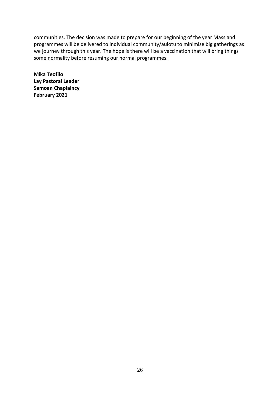communities. The decision was made to prepare for our beginning of the year Mass and programmes will be delivered to individual community/aulotu to minimise big gatherings as we journey through this year. The hope is there will be a vaccination that will bring things some normality before resuming our normal programmes.

**Mika Teofilo Lay Pastoral Leader Samoan Chaplaincy February 2021**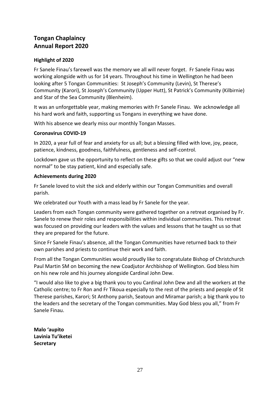### **Tongan Chaplaincy Annual Report 2020**

#### **Highlight of 2020**

Fr Sanele Finau's farewell was the memory we all will never forget. Fr Sanele Finau was working alongside with us for 14 years. Throughout his time in Wellington he had been looking after 5 Tongan Communities: St Joseph's Community (Levin), St Therese's Community (Karori), St Joseph's Community (Upper Hutt), St Patrick's Community (Kilbirnie) and Star of the Sea Community (Blenheim).

It was an unforgettable year, making memories with Fr Sanele Finau. We acknowledge all his hard work and faith, supporting us Tongans in everything we have done.

With his absence we dearly miss our monthly Tongan Masses.

#### **Coronavirus COVID-19**

In 2020, a year full of fear and anxiety for us all; but a blessing filled with love, joy, peace, patience, kindness, goodness, faithfulness, gentleness and self-control.

Lockdown gave us the opportunity to reflect on these gifts so that we could adjust our "new normal" to be stay patient, kind and especially safe.

#### **Achievements during 2020**

Fr Sanele loved to visit the sick and elderly within our Tongan Communities and overall parish.

We celebrated our Youth with a mass lead by Fr Sanele for the year.

Leaders from each Tongan community were gathered together on a retreat organised by Fr. Sanele to renew their roles and responsibilities within individual communities. This retreat was focused on providing our leaders with the values and lessons that he taught us so that they are prepared for the future.

Since Fr Sanele Finau's absence, all the Tongan Communities have returned back to their own parishes and priests to continue their work and faith.

From all the Tongan Communities would proudly like to congratulate Bishop of Christchurch Paul Martin SM on becoming the new Coadjutor Archbishop of Wellington. God bless him on his new role and his journey alongside Cardinal John Dew.

"I would also like to give a big thank you to you Cardinal John Dew and all the workers at the Catholic centre; to Fr Ron and Fr Tikoua especially to the rest of the priests and people of St Therese parishes, Karori; St Anthony parish, Seatoun and Miramar parish; a big thank you to the leaders and the secretary of the Tongan communities. May God bless you all," from Fr Sanele Finau.

**Malo 'aupito Lavinia Tu'iketei Secretary**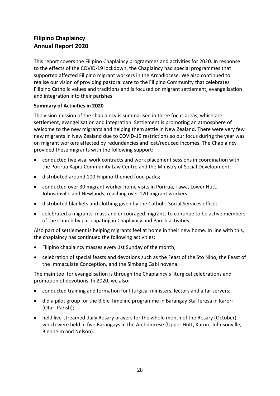# **Filipino Chaplaincy Annual Report 2020**

This report covers the Filipino Chaplaincy programmes and activities for 2020. In response to the effects of the COVID-19 lockdown, the Chaplaincy had special programmes that supported affected Filipino migrant workers in the Archdiocese. We also continued to realise our vision of providing pastoral care to the Filipino Community that celebrates Filipino Catholic values and traditions and is focused on migrant settlement, evangelisation and integration into their parishes.

#### **Summary of Activities in 2020**

The vision-mission of the chaplaincy is summarised in three focus areas, which are: settlement, evangelisation and integration. Settlement is promoting an atmosphere of welcome to the new migrants and helping them settle in New Zealand. There were very few new migrants in New Zealand due to COVID-19 restrictions so our focus during the year was on migrant workers affected by redundancies and lost/reduced incomes. The Chaplaincy provided these migrants with the following support:

- conducted five visa, work contracts and work placement sessions in coordination with the Porirua Kapiti Community Law Centre and the Ministry of Social Development;
- distributed around 100 Filipino-themed food packs;
- conducted over 30 migrant worker home visits in Porirua, Tawa, Lower Hutt, Johnsonville and Newlands, reaching over 120 migrant workers;
- distributed blankets and clothing given by the Catholic Social Services office;
- celebrated a migrants' mass and encouraged migrants to continue to be active members of the Church by participating in Chaplaincy and Parish activities.

Also part of settlement is helping migrants feel at home in their new home. In line with this, the chaplaincy has continued the following activities:

- Filipino chaplaincy masses every 1st Sunday of the month;
- celebration of special feasts and devotions such as the Feast of the Sto Nino, the Feast of the Immaculate Conception, and the Simbang Gabi novena.

The main tool for evangelisation is through the Chaplaincy's liturgical celebrations and promotion of devotions. In 2020, we also:

- conducted training and formation for liturgical ministers, lectors and altar servers;
- did a pilot group for the Bible Timeline programme in Barangay Sta Teresa in Karori (Otari Parish);
- held live-streamed daily Rosary prayers for the whole month of the Rosary (October), which were held in five Barangays in the Archdiocese (Upper Hutt, Karori, Johnsonville, Blenheim and Nelson).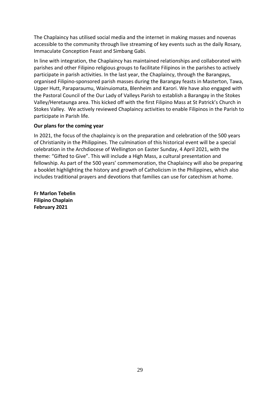The Chaplaincy has utilised social media and the internet in making masses and novenas accessible to the community through live streaming of key events such as the daily Rosary, Immaculate Conception Feast and Simbang Gabi.

In line with integration, the Chaplaincy has maintained relationships and collaborated with parishes and other Filipino religious groups to facilitate Filipinos in the parishes to actively participate in parish activities. In the last year, the Chaplaincy, through the Barangays, organised Filipino-sponsored parish masses during the Barangay feasts in Masterton, Tawa, Upper Hutt, Paraparaumu, Wainuiomata, Blenheim and Karori. We have also engaged with the Pastoral Council of the Our Lady of Valleys Parish to establish a Barangay in the Stokes Valley/Heretaunga area. This kicked off with the first Filipino Mass at St Patrick's Church in Stokes Valley. We actively reviewed Chaplaincy activities to enable Filipinos in the Parish to participate in Parish life.

#### **Our plans for the coming year**

In 2021, the focus of the chaplaincy is on the preparation and celebration of the 500 years of Christianity in the Philippines. The culmination of this historical event will be a special celebration in the Archdiocese of Wellington on Easter Sunday, 4 April 2021, with the theme: "Gifted to Give". This will include a High Mass, a cultural presentation and fellowship. As part of the 500 years' commemoration, the Chaplaincy will also be preparing a booklet highlighting the history and growth of Catholicism in the Philippines, which also includes traditional prayers and devotions that families can use for catechism at home.

**Fr Marlon Tebelin Filipino Chaplain February 2021**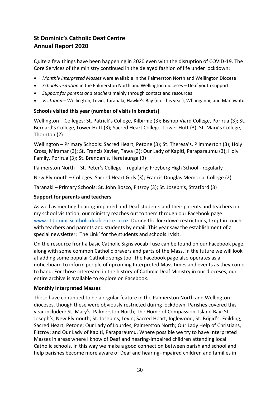# **St Dominic's Catholic Deaf Centre Annual Report 2020**

Quite a few things have been happening in 2020 even with the disruption of COVID-19. The Core Services of the ministry continued in the delayed fashion of life under lockdown:

- *Monthly Interpreted Masses* were available in the Palmerston North and Wellington Diocese
- *Schools visitation* in the Palmerston North and Wellington dioceses Deaf youth support
- *Support for parents and teachers* mainly through contact and resources
- *Visitation* Wellington, Levin, Taranaki, Hawke's Bay (not this year), Whanganui, and Manawatu

#### **Schools visited this year (number of visits in brackets)**

Wellington – Colleges: St. Patrick's College, Kilbirnie (3); Bishop Viard College, Porirua (3); St. Bernard's College, Lower Hutt (3); Sacred Heart College, Lower Hutt (3); St. Mary's College, Thornton (2)

Wellington – Primary Schools: Sacred Heart, Petone (3); St. Theresa's, Plimmerton (3); Holy Cross, Miramar (3); St. Francis Xavier, Tawa (3); Our Lady of Kapiti, Paraparaumu (3); Holy Family, Porirua (3); St. Brendan's, Heretaunga (3)

Palmerston North – St. Peter's College – regularly; Freyberg High School - regularly

New Plymouth – Colleges: Sacred Heart Girls (3); Francis Douglas Memorial College (2)

Taranaki – Primary Schools: St. John Bosco, Fitzroy (3); St. Joseph's, Stratford (3)

#### **Support for parents and teachers**

As well as meeting hearing-impaired and Deaf students and their parents and teachers on my school visitation, our ministry reaches out to them through our Facebook page [www.stdominicscatholicdeafcentre.co.nz.](http://www.stdominicscatholicdeafcentre.co.nz/) During the lockdown restrictions, I kept in touch with teachers and parents and students by email. This year saw the establishment of a special newsletter: 'The Link' for the students and schools I visit.

On the resource front a basic Catholic Signs vocab I use can be found on our Facebook page, along with some common Catholic prayers and parts of the Mass. In the future we will look at adding some popular Catholic songs too. The Facebook page also operates as a noticeboard to inform people of upcoming Interpreted Mass times and events as they come to hand. For those interested in the history of Catholic Deaf Ministry in our dioceses, our entire archive is available to explore on Facebook.

#### **Monthly Interpreted Masses**

These have continued to be a regular feature in the Palmerston North and Wellington dioceses, though these were obviously restricted during lockdown. Parishes covered this year included: St. Mary's, Palmerston North; The Home of Compassion, Island Bay; St. Joseph's, New Plymouth; St. Joseph's, Levin; Sacred Heart, Inglewood; St. Brigid's, Feilding; Sacred Heart, Petone; Our Lady of Lourdes, Palmerston North; Our Lady Help of Christians, Fitzroy; and Our Lady of Kapiti, Paraparaumu. Where possible we try to have Interpreted Masses in areas where I know of Deaf and hearing-impaired children attending local Catholic schools. In this way we make a good connection between parish and school and help parishes become more aware of Deaf and hearing-impaired children and families in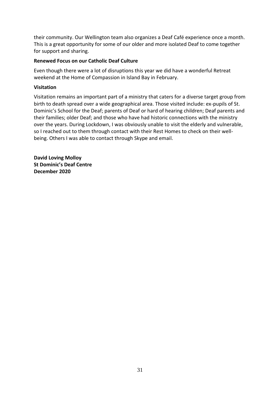their community. Our Wellington team also organizes a Deaf Café experience once a month. This is a great opportunity for some of our older and more isolated Deaf to come together for support and sharing.

#### **Renewed Focus on our Catholic Deaf Culture**

Even though there were a lot of disruptions this year we did have a wonderful Retreat weekend at the Home of Compassion in Island Bay in February.

#### **Visitation**

Visitation remains an important part of a ministry that caters for a diverse target group from birth to death spread over a wide geographical area. Those visited include: ex-pupils of St. Dominic's School for the Deaf; parents of Deaf or hard of hearing children; Deaf parents and their families; older Deaf; and those who have had historic connections with the ministry over the years. During Lockdown, I was obviously unable to visit the elderly and vulnerable, so I reached out to them through contact with their Rest Homes to check on their wellbeing. Others I was able to contact through Skype and email.

**David Loving Molloy St Dominic's Deaf Centre December 2020**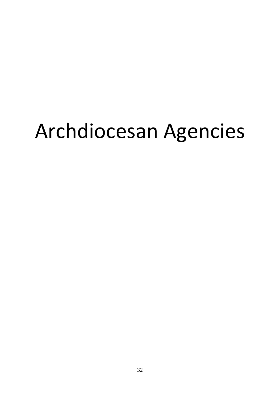# Archdiocesan Agencies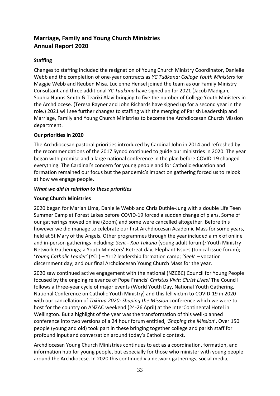# **Marriage, Family and Young Church Ministries Annual Report 2020**

#### **Staffing**

Changes to staffing included the resignation of Young Church Ministry Coordinator, Danielle Webb and the completion of one-year contracts as *YC Tuākana: College Youth Ministers* for Maggie Webb and Reuben Misa. Lucienne Hensel joined the team as our Family Ministry Consultant and three additional *YC Tuākana* have signed up for 2021 (Jacob Madigan, Sophia Nunns-Smith & Teariki Alavi bringing to five the number of College Youth Ministers in the Archdiocese. (Teresa Rayner and John Richards have signed up for a second year in the role.) 2021 will see further changes to staffing with the merging of Parish Leadership and Marriage, Family and Young Church Ministries to become the Archdiocesan Church Mission department.

#### **Our priorities in 2020**

The Archdiocesan pastoral priorities introduced by Cardinal John in 2014 and refreshed by the recommendations of the 2017 Synod continued to guide our ministries in 2020. The year began with promise and a large national conference in the plan before COVID-19 changed everything. The Cardinal's concern for young people and for Catholic education and formation remained our focus but the pandemic's impact on gathering forced us to relook at how we engage people.

#### *What we did in relation to these priorities*

#### **Young Church Ministries**

2020 began for Marian Lima, Danielle Webb and Chris Duthie-Jung with a double Life Teen Summer Camp at Forest Lakes before COVID-19 forced a sudden change of plans. Some of our gatherings moved online (Zoom) and some were cancelled altogether. Before this however we did manage to celebrate our first Archdiocesan Academic Mass for some years, held at St Mary of the Angels. Other programmes through the year included a mix of online and in-person gatherings including: *Sent - Kua Tukuna* (young adult forum)*;* Youth Ministry Network Gatherings; a Youth Ministers' Retreat day; Elephant Issues (topical issue forum); '*Young Catholic Leader'* (YCL) – Yr12 leadership formation camp; '*Seek*' – vocation discernment day; and our final Archdiocesan Young Church Mass for the year.

2020 saw continued active engagement with the national (NZCBC) Council for Young People focused by the ongoing relevance of Pope Francis' *Christus Vivit: Christ Lives!* The Council follows a three-year cycle of major events (World Youth Day, National Youth Gathering, National Conference on Catholic Youth Ministry) and this fell victim to COVID-19 in 2020 with our cancellation of *Takirua 2020: Shaping the Mission* conference which we were to host for the country on ANZAC weekend (24-26 April) at the InterContinental Hotel in Wellington. But a highlight of the year was the transformation of this well-planned conference into two versions of a 24 hour forum entitled, *'Shaping the Mission*'. Over 150 people (young and old) took part in these bringing together college and parish staff for profound input and conversation around today's Catholic context.

Archdiocesan Young Church Ministries continues to act as a coordination, formation, and information hub for young people, but especially for those who minister with young people around the Archdiocese. In 2020 this continued via network gatherings, social media,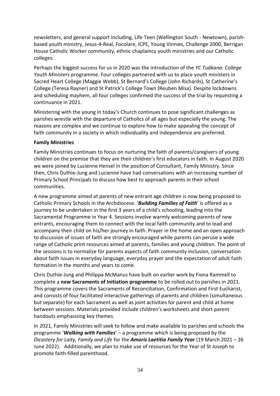newsletters, and general support including, Life Teen (Wellington South - Newtown), parishbased youth ministry, Jesus-4-Real, Focolare, ICPE, Young Vinnies, Challenge 2000, Berrigan House Catholic Worker community, ethnic chaplaincy youth ministries and our Catholic colleges.

Perhaps the biggest success for us in 2020 was the introduction of the *YC Tuākana: College Youth Ministers* programme. Four colleges partnered with us to place youth ministers in Sacred Heart College (Maggie Webb), St Bernard's College (John Richards), St Catherine's College (Teresa Rayner) and St Patrick's College Town (Reuben Misa). Despite lockdowns and scheduling mayhem, all four colleges confirmed the success of the trial by requesting a continuance in 2021.

Ministering with the young in today's Church continues to pose significant challenges as parishes wrestle with the departure of Catholics of all ages but especially the young. The reasons are complex and we continue to explore how to make appealing the concept of faith community in a society in which individuality and independence are preferred.

#### **Family Ministries**

Family Ministries continues to focus on nurturing the faith of parents/caregivers of young children on the premise that they are their children's first educators in faith. In August 2020 we were joined by Lucienne Hensel in the position of Consultant, Family Ministry. Since then, Chris Duthie-Jung and Lucienne have had conversations with an increasing number of Primary School Principals to discuss how best to approach parents in their school communities.

A new programme aimed at parents of new entrant age children is now being proposed to Catholic Primary Schools in the Archdiocese. '*Building Families of Faith*' is offered as a journey to be undertaken in the first 3 years of a child's schooling, leading into the Sacramental Programme in Year 4. Sessions involve warmly welcoming parents of new entrants, encouraging them to connect with the local faith community and to lead and accompany their child on his/her journey in faith. Prayer in the home and an open approach to discussion of issues of faith are strongly encouraged while parents can peruse a wide range of Catholic print resources aimed at parents, families and young children. The point of the sessions is to normalize for parents aspects of faith community inclusion, conversation about faith issues in everyday language, everyday prayer and the expectation of adult faith formation in the months and years to come.

Chris Duthie-Jung and Philippa McManus have built on earlier work by Fiona Rammell to complete a **new Sacraments of Initiation programme** to be rolled out to parishes in 2021. This programme covers the Sacraments of Reconciliation, Confirmation and First Eucharist, and consists of four facilitated interactive gatherings of parents and children (simultaneous but separate) for each Sacrament as well as joint activities for parent and child at home between sessions. Materials provided include children's worksheets and short parent handouts emphasizing key themes.

In 2021, Family Ministries will seek to follow and make available to parishes and schools the programme '*Walking with Families*' – a programme which is being proposed by the *Dicastery for Laity, Family and Life* for the *Amoris Laetitia Family Year* (19 March 2021 – 26 June 2022). Additionally, we plan to make use of resources for the Year of St Joseph to promote faith-filled parenthood.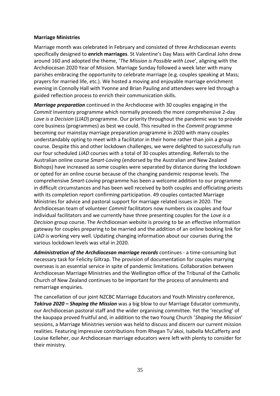#### **Marriage Ministries**

Marriage month was celebrated in February and consisted of three Archdiocesan events specifically designed to **enrich marriages**. St Valentine's Day Mass with Cardinal John drew around 160 and adopted the theme, '*The Mission is Possible with Love*', aligning with the Archdiocesan 2020 Year of Mission. Marriage Sunday followed a week later with many parishes embracing the opportunity to celebrate marriage (e.g. couples speaking at Mass; prayers for married life, etc.). We hosted a moving and enjoyable marriage enrichment evening in Connolly Hall with Yvonne and Brian Pauling and attendees were led through a guided reflection process to enrich their communication skills.

*Marriage preparation* continued in the Archdiocese with 30 couples engaging in the *Commit* Inventory programme which normally preceeds the more comprehensive 2-day *Love is a Decision* (*LIAD*) programme. Our priority throughout the pandemic was to provide core business (programmes) as best we could. This resulted in the *Commit* programme becoming our mainstay marriage preparation programme in 2020 with many couples understandably opting to meet with a facilitator in their home rather than join a group course. Despite this and other lockdown challenges, we were delighted to successfully run our four scheduled *LIAD* courses with a total of 30 couples attending. Referrals to the Australian online course *Smart-Loving* (endorsed by the Australian and New Zealand Bishops) have increased as some couples were separated by distance during the lockdown or opted for an online course because of the changing pandemic response levels. The comprehensive *Smart-Loving* programme has been a welcome addition to our programme in difficult circumstances and has been well received by both couples and officiating priests with its completion report confirming participation. 49 couples contacted Marriage Ministries for advice and pastoral support for marriage related issues in 2020. The Archdiocesan team of volunteer *Commit* facilitators now numbers six couples and four individual facilitators and we currently have three presenting couples for the *Love is a Decision* group course. The Archdiocesan website is proving to be an effective information gateway for couples preparing to be married and the addition of an online booking link for LIAD is working very well. Updating changing information about our courses during the various lockdown levels was vital in 2020.

*Administration of the Archdiocesan marriage records* continues - a time-consuming but necessary task for Felicity Giltrap. The provision of documentation for couples marrying overseas is an essential service in spite of pandemic limitations. Collaboration between Archdiocesan Marriage Ministries and the Wellington office of the Tribunal of the Catholic Church of New Zealand continues to be important for the process of annulments and remarriage enquiries.

The cancellation of our joint NZCBC Marriage Educators and Youth Ministry conference, *Takirua 2020 – Shaping the Mission* was a big blow to our Marriage Educator community, our Archdiocesan pastoral staff and the wider organising committee. Yet the 'recycling' of the kaupapa proved fruitful and, in addition to the two Young Church '*Shaping the Mission*' sessions, a Marriage Ministries version was held to discuss and discern our current mission realities. Featuring impressive contributions from Rhegan Tu'akoi, Isabella McCafferty and Louise Kelleher, our Archdiocesan marriage educators were left with plenty to consider for their ministry.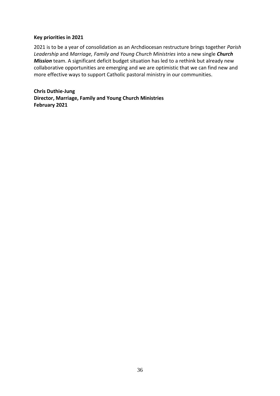#### **Key priorities in 2021**

2021 is to be a year of consolidation as an Archdiocesan restructure brings together *Parish Leadership* and *Marriage, Family and Young Church Ministries* into a new single *Church Mission* team. A significant deficit budget situation has led to a rethink but already new collaborative opportunities are emerging and we are optimistic that we can find new and more effective ways to support Catholic pastoral ministry in our communities.

**Chris Duthie-Jung Director, Marriage, Family and Young Church Ministries February 2021**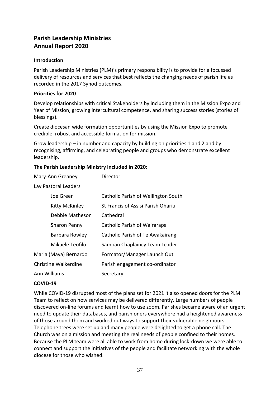## **Parish Leadership Ministries Annual Report 2020**

#### **Introduction**

Parish Leadership Ministries (PLM)'s primary responsibility is to provide for a focussed delivery of resources and services that best reflects the changing needs of parish life as recorded in the 2017 Synod outcomes.

#### **Priorities for 2020**

Develop relationships with critical Stakeholders by including them in the Mission Expo and Year of Mission, growing intercultural competence, and sharing success stories (stories of blessings).

Create diocesan wide formation opportunities by using the Mission Expo to promote credible, robust and accessible formation for mission.

Grow leadership – in number and capacity by building on priorities 1 and 2 and by recognising, affirming, and celebrating people and groups who demonstrate excellent leadership.

#### **The Parish Leadership Ministry included in 2020:**

| Mary-Ann Greaney      | Director                            |
|-----------------------|-------------------------------------|
| Lay Pastoral Leaders  |                                     |
| Joe Green             | Catholic Parish of Wellington South |
| Kitty McKinley        | St Francis of Assisi Parish Ohariu  |
| Debbie Matheson       | Cathedral                           |
| Sharon Penny          | Catholic Parish of Wairarapa        |
| Barbara Rowley        | Catholic Parish of Te Awakairangi   |
| Mikaele Teofilo       | Samoan Chaplaincy Team Leader       |
| Maria (Maya) Bernardo | Formator/Manager Launch Out         |
| Christine Walkerdine  | Parish engagement co-ordinator      |
| Ann Williams          | Secretary                           |

#### **COVID-19**

While COVID-19 disrupted most of the plans set for 2021 it also opened doors for the PLM Team to reflect on how services may be delivered differently. Large numbers of people discovered on-line forums and learnt how to use zoom. Parishes became aware of an urgent need to update their databases, and parishioners everywhere had a heightened awareness of those around them and worked out ways to support their vulnerable neighbours. Telephone trees were set up and many people were delighted to get a phone call. The Church was on a mission and meeting the real needs of people confined to their homes. Because the PLM team were all able to work from home during lock-down we were able to connect and support the initiatives of the people and facilitate networking with the whole diocese for those who wished.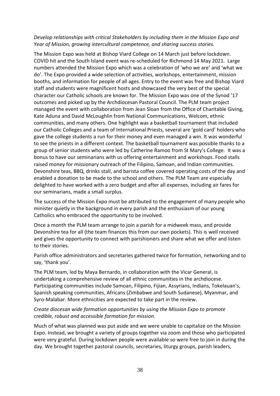#### *Develop relationships with critical Stakeholders by including them in the Mission Expo and Year of Mission, growing intercultural competence, and sharing success stories.*

The Mission Expo was held at Bishop Viard College on 14 March just before lockdown. COVID hit and the South Island event was re-scheduled for Richmond 14 May 2021. Large numbers attended the Mission Expo which was a celebration of 'who we are' and 'what we do'. The Expo provided a wide selection of activities, workshops, entertainment, mission booths, and information for people of all ages. Entry to the event was free and Bishop Viard staff and students were magnificent hosts and showcased the very best of the special character our Catholic schools are known for. The Mission Expo was one of the Synod '17 outcomes and picked up by the Archdiocesan Pastoral Council. The PLM team project managed the event with collaboration from Jean Sloan from the Office of Charitable Giving, Kate Aduna and David McLoughlin from National Communications, Welcom, ethnic communities, and many others. One highlight was a basketball tournament that included our Catholic Colleges and a team of International Priests, several are 'gold card' holders who gave the college students a run for their money and even managed a win. It was wonderful to see the priests in a different context. The basketball tournament was possible thanks to a group of senior students who were led by Catherine Ramoo from St Mary's College. It was a bonus to have our seminarians with us offering entertainment and workshops. Food stalls raised money for missionary outreach of the Filipino, Samoan, and Indian communities. Devonshire teas, BBQ, drinks stall, and barista coffee covered operating costs of the day and enabled a donation to be made to the school and others. The PLM Team are especially delighted to have worked with a zero budget and after all expenses, including air fares for our seminarians, made a small surplus.

The success of the Mission Expo must be attributed to the engagement of many people who minister quietly in the background in every parish and the enthusiasm of our young Catholics who embraced the opportunity to be involved.

Once a month the PLM team arrange to join a parish for a midweek mass, and provide Devonshire tea for all (the team finances this from our own pockets). This is well received and gives the opportunity to connect with parishioners and share what we offer and listen to their stories.

Parish office administrators and secretaries gathered twice for formation, networking and to say, 'thank you'.

The PLM team, led by Maya Bernardo, in collaboration with the Vicar General, is undertaking a comprehensive review of all ethnic communities in the archdiocese. Participating communities include Samoan, Filipino, Fijian, Assyrians, Indians, Tokelauan's, Spanish speaking communities, Africans (Zimbabwe and South Sudanese), Myanmar, and Syro-Malabar. More ethnicities are expected to take part in the review.

#### *Create diocesan wide formation opportunities by using the Mission Expo to promote credible, robust and accessible formation for mission.*

Much of what was planned was put aside and we were unable to capitalize on the Mission Expo. Instead, we brought a variety of groups together via zoom and those who participated were very grateful. During lockdown people were available so were free to join in during the day. We brought together pastoral councils, secretaries, liturgy groups, parish leaders,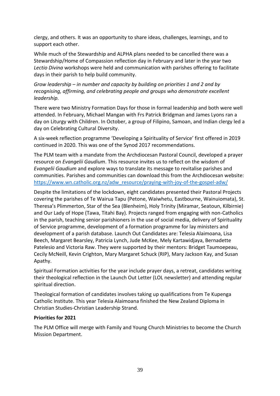clergy, and others. It was an opportunity to share ideas, challenges, learnings, and to support each other.

While much of the Stewardship and ALPHA plans needed to be cancelled there was a Stewardship/Home of Compassion reflection day in February and later in the year two *Lectio Divina* workshops were held and communication with parishes offering to facilitate days in their parish to help build community.

*Grow leadership – in number and capacity by building on priorities 1 and 2 and by recognising, affirming, and celebrating people and groups who demonstrate excellent leadership.* 

There were two Ministry Formation Days for those in formal leadership and both were well attended. In February, Michael Mangan with Frs Patrick Bridgman and James Lyons ran a day on Liturgy with Children. In October, a group of Filipino, Samoan, and Indian clergy led a day on Celebrating Cultural Diversity.

A six-week reflection programme 'Developing a Spirituality of Service' first offered in 2019 continued in 2020. This was one of the Synod 2017 recommendations.

The PLM team with a mandate from the Archdiocesan Pastoral Council, developed a prayer resource on *Evangelii Gaudium*. This resource invites us to reflect on the wisdom of *Evangelii Gaudium* and explore ways to translate its message to revitalise parishes and communities. Parishes and communities can download this from the Archdiocesan website: [https://www.wn.catholic.org.nz/adw\\_resource/praying-with-joy-of-the-gospel-adw/](https://www.wn.catholic.org.nz/adw_resource/praying-with-joy-of-the-gospel-adw/)

Despite the limitations of the lockdown, eight candidates presented their Pastoral Projects covering the parishes of Te Wairua Tapu (Petone, Waiwhetu, Eastbourne, Wainuiomata), St. Theresa's Plimmerton, Star of the Sea (Blenheim), Holy Trinity (Miramar, Seatoun, Kilbirnie) and Our Lady of Hope (Tawa, Titahi Bay). Projects ranged from engaging with non-Catholics in the parish, teaching senior parishioners in the use of social media, delivery of Spirituality of Service programme, development of a formation programme for lay ministers and development of a parish database. Launch Out Candidates are: Telesia Alaimoana, Lisa Beech, Margaret Bearsley, Patricia Lynch, Jude McKee, Mely Kartawidjaya, Bernadette Patelesio and Victoria Raw. They were supported by their mentors: Bridget Taumoepeau, Cecily McNeill, Kevin Crighton, Mary Margaret Schuck (RIP), Mary Jackson Kay, and Susan Apathy.

Spiritual Formation activities for the year include prayer days, a retreat, candidates writing their theological reflection in the Launch Out Letter (LOL newsletter) and attending regular spiritual direction.

Theological formation of candidates involves taking up qualifications from Te Kupenga Catholic Institute. This year Telesia Alaimoana finished the New Zealand Diploma in Christian Studies-Christian Leadership Strand.

#### **Priorities for 2021**

The PLM Office will merge with Family and Young Church Ministries to become the Church Mission Department.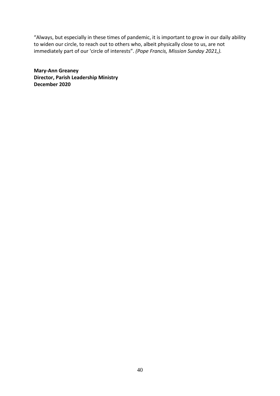"Always, but especially in these times of pandemic, it is important to grow in our daily ability to widen our circle, to reach out to others who, albeit physically close to us, are not immediately part of our 'circle of interests". *(Pope Francis, Mission Sunday 2021,).* 

**Mary-Ann Greaney Director, Parish Leadership Ministry December 2020**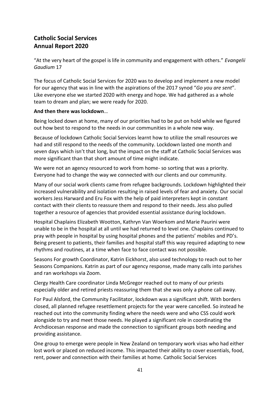# **Catholic Social Services Annual Report 2020**

"At the very heart of the gospel is life in community and engagement with others." *Evangelii Gaudium* 17

The focus of Catholic Social Services for 2020 was to develop and implement a new model for our agency that was in line with the aspirations of the 2017 synod "*Go you are sent*". Like everyone else we started 2020 with energy and hope. We had gathered as a whole team to dream and plan; we were ready for 2020.

#### **And then there was lockdown**…

Being locked down at home, many of our priorities had to be put on hold while we figured out how best to respond to the needs in our communities in a whole new way.

Because of lockdown Catholic Social Services learnt how to utilize the small resources we had and still respond to the needs of the community. Lockdown lasted one month and seven days which isn't that long, but the impact on the staff at Catholic Social Services was more significant than that short amount of time might indicate.

We were not an agency resourced to work from home- so sorting that was a priority. Everyone had to change the way we connected with our clients and our community.

Many of our social work clients came from refugee backgrounds. Lockdown highlighted their increased vulnerability and isolation resulting in raised levels of fear and anxiety. Our social workers Jess Harward and Eru Fox with the help of paid interpreters kept in constant contact with their clients to reassure them and respond to their needs. Jess also pulled together a resource of agencies that provided essential assistance during lockdown.

Hospital Chaplains Elizabeth Wootton, Kathryn Van Woerkom and Marie Paurini were unable to be in the hospital at all until we had returned to level one. Chaplains continued to pray with people in hospital by using hospital phones and the patients' mobiles and PD's. Being present to patients, their families and hospital staff this way required adapting to new rhythms and routines, at a time when face to face contact was not possible.

Seasons For growth Coordinator, Katrin Eickhorst, also used technology to reach out to her Seasons Companions. Katrin as part of our agency response, made many calls into parishes and ran workshops via Zoom.

Clergy Health Care coordinator Linda McGregor reached out to many of our priests especially older and retired priests reassuring them that she was only a phone call away.

For Paul Alsford, the Community Facilitator, lockdown was a significant shift. With borders closed, all planned refugee resettlement projects for the year were cancelled. So instead he reached out into the community finding where the needs were and who CSS could work alongside to try and meet those needs. He played a significant role in coordinating the Archdiocesan response and made the connection to significant groups both needing and providing assistance.

One group to emerge were people in New Zealand on temporary work visas who had either lost work or placed on reduced income. This impacted their ability to cover essentials, food, rent, power and connection with their families at home. Catholic Social Services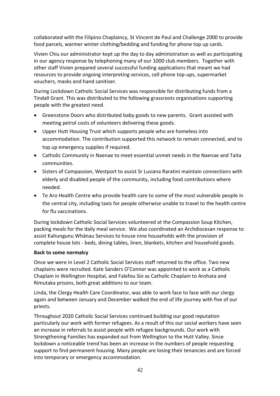collaborated with the Filipino Chaplaincy, St Vincent de Paul and Challenge 2000 to provide food parcels, warmer winter clothing/bedding and funding for phone top up cards.

Vivien Chiu our administrator kept up the day to day administration as well as participating in our agency response by telephoning many of our 1000 club members. Together with other staff Vivien prepared several successful funding applications that meant we had resources to provide ongoing interpreting services, cell phone top-ups, supermarket vouchers, masks and hand sanitiser.

During Lockdown Catholic Social Services was responsible for distributing funds from a Tindall Grant. This was distributed to the following grassroots organisations supporting people with the greatest need.

- Greenstone Doors who distributed baby goods to new parents. Grant assisted with meeting petrol costs of volunteers delivering these goods.
- Upper Hutt Housing Trust which supports people who are homeless into accommodation. The contribution supported this network to remain connected, and to top up emergency supplies if required.
- Catholic Community in Naenae to meet essential unmet needs in the Naenae and Taita communities.
- Sisters of Compassion, Westport to assist Sr Lusiana Raratini maintain connections with elderly and disabled people of the community, including food contributions where needed.
- Te Aro Health Centre who provide health care to some of the most vulnerable people in the central city, including taxis for people otherwise unable to travel to the health centre for flu vaccinations.

During lockdown Catholic Social Services volunteered at the Compassion Soup Kitchen, packing meals for the daily meal service. We also coordinated an Archdiocesan response to assist Kahungunu Whānau Services to house nine households with the provision of complete house lots - beds, dining tables, linen, blankets, kitchen and household goods.

#### **Back to some normalcy**

Once we were in Level 2 Catholic Social Services staff returned to the office. Two new chaplains were recruited. Kate Sanders O'Connor was appointed to work as a Catholic Chaplain in Wellington Hospital, and Falefou Sio as Catholic Chaplain to Arohata and Rimutaka prisons, both great additions to our team.

Linda, the Clergy Health Care Coordinator, was able to work face to face with our clergy again and between January and December walked the end of life journey with five of our priests.

Throughout 2020 Catholic Social Services continued building our good reputation particularly our work with former refugees. As a result of this our social workers have seen an increase in referrals to assist people with refugee backgrounds. Our work with Strengthening Families has expanded out from Wellington to the Hutt Valley. Since lockdown a noticeable trend has been an increase in the numbers of people requesting support to find permanent housing. Many people are losing their tenancies and are forced into temporary or emergency accommodation.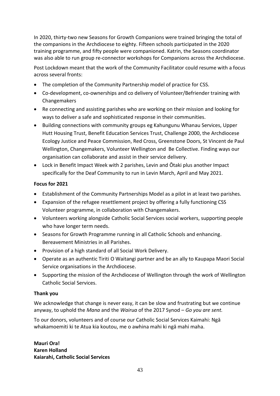In 2020, thirty-two new Seasons for Growth Companions were trained bringing the total of the companions in the Archdiocese to eighty. Fifteen schools participated in the 2020 training programme, and fifty people were companioned. Katrin, the Seasons coordinator was also able to run group re-connector workshops for Companions across the Archdiocese.

Post Lockdown meant that the work of the Community Facilitator could resume with a focus across several fronts:

- The completion of the Community Partnership model of practice for CSS.
- Co-development, co-ownerships and co delivery of Volunteer/Befriender training with Changemakers
- Re connecting and assisting parishes who are working on their mission and looking for ways to deliver a safe and sophisticated response in their communities.
- Building connections with community groups eg Kahungunu Whanau Services, Upper Hutt Housing Trust, Benefit Education Services Trust, Challenge 2000, the Archdiocese Ecology Justice and Peace Commission, Red Cross, Greenstone Doors, St Vincent de Paul Wellington, Changemakers, Volunteer Wellington and Be Collective. Finding ways our organisation can collaborate and assist in their service delivery.
- Lock in Benefit Impact Week with 2 parishes, Levin and Ōtaki plus another Impact specifically for the Deaf Community to run in Levin March, April and May 2021.

#### **Focus for 2021**

- Establishment of the Community Partnerships Model as a pilot in at least two parishes.
- Expansion of the refugee resettlement project by offering a fully functioning CSS Volunteer programme, in collaboration with Changemakers.
- Volunteers working alongside Catholic Social Services social workers, supporting people who have longer term needs.
- Seasons for Growth Programme running in all Catholic Schools and enhancing. Bereavement Ministries in all Parishes.
- Provision of a high standard of all Social Work Delivery.
- Operate as an authentic Tiriti O Waitangi partner and be an ally to Kaupapa Maori Social Service organisations in the Archdiocese.
- Supporting the mission of the Archdiocese of Wellington through the work of Wellington Catholic Social Services.

#### **Thank you**

We acknowledge that change is never easy, it can be slow and frustrating but we continue anyway, to uphold the *Mana* and the *Wairua* of the 2017 Synod – *Go you are sent.*

To our donors, volunteers and of course our Catholic Social Services Kaimahi: Ngā whakamoemiti ki te Atua kia koutou, me o awhina mahi ki ngā mahi maha.

**Mauri Ora! Karen Holland Kaiarahi, Catholic Social Services**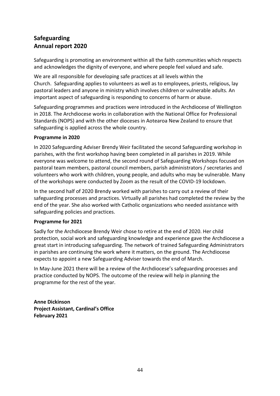# **Safeguarding Annual report 2020**

Safeguarding is promoting an environment within all the faith communities which respects and acknowledges the dignity of everyone, and where people feel valued and safe.

We are all responsible for developing safe practices at all levels within the Church. Safeguarding applies to volunteers as well as to employees, priests, religious, lay pastoral leaders and anyone in ministry which involves children or vulnerable adults. An important aspect of safeguarding is responding to concerns of harm or abuse.

Safeguarding programmes and practices were introduced in the Archdiocese of Wellington in 2018. The Archdiocese works in collaboration with the National Office for Professional Standards (NOPS) and with the other dioceses in Aotearoa New Zealand to ensure that safeguarding is applied across the whole country.

#### **Programme in 2020**

In 2020 Safeguarding Adviser Brendy Weir facilitated the second Safeguarding workshop in parishes, with the first workshop having been completed in all parishes in 2019. While everyone was welcome to attend, the second round of Safeguarding Workshops focused on pastoral team members, pastoral council members, parish administrators / secretaries and volunteers who work with children, young people, and adults who may be vulnerable. Many of the workshops were conducted by Zoom as the result of the COVID-19 lockdown.

In the second half of 2020 Brendy worked with parishes to carry out a review of their safeguarding processes and practices. Virtually all parishes had completed the review by the end of the year. She also worked with Catholic organizations who needed assistance with safeguarding policies and practices.

#### **Programme for 2021**

Sadly for the Archdiocese Brendy Weir chose to retire at the end of 2020. Her child protection, social work and safeguarding knowledge and experience gave the Archdiocese a great start in introducing safeguarding. The network of trained Safeguarding Administrators in parishes are continuing the work where it matters, on the ground. The Archdiocese expects to appoint a new Safeguarding Adviser towards the end of March.

In May-June 2021 there will be a review of the Archdiocese's safeguarding processes and practice conducted by NOPS. The outcome of the review will help in planning the programme for the rest of the year.

**Anne Dickinson Project Assistant, Cardinal's Office February 2021**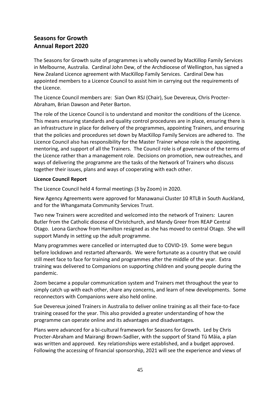# **Seasons for Growth Annual Report 2020**

The Seasons for Growth suite of programmes is wholly owned by MacKillop Family Services in Melbourne, Australia. Cardinal John Dew, of the Archdiocese of Wellington, has signed a New Zealand Licence agreement with MacKillop Family Services. Cardinal Dew has appointed members to a Licence Council to assist him in carrying out the requirements of the Licence.

The Licence Council members are: Sian Own RSJ (Chair), Sue Devereux, Chris Procter-Abraham, Brian Dawson and Peter Barton.

The role of the Licence Council is to understand and monitor the conditions of the Licence. This means ensuring standards and quality control procedures are in place, ensuring there is an infrastructure in place for delivery of the programmes, appointing Trainers, and ensuring that the policies and procedures set down by MacKillop Family Services are adhered to. The Licence Council also has responsibility for the Master Trainer whose role is the appointing, mentoring, and support of all the Trainers. The Council role is of governance of the terms of the Licence rather than a management role. Decisions on promotion, new outreaches, and ways of delivering the programme are the tasks of the Network of Trainers who discuss together their issues, plans and ways of cooperating with each other.

#### **Licence Council Report**

The Licence Council held 4 formal meetings (3 by Zoom) in 2020.

New Agency Agreements were approved for Manawanui Cluster 10 RTLB in South Auckland, and for the Whangamata Community Services Trust.

Two new Trainers were accredited and welcomed into the network of Trainers: Lauren Butler from the Catholic diocese of Christchurch, and Mandy Greer from REAP Central Otago. Leona Garchow from Hamilton resigned as she has moved to central Otago. She will support Mandy in setting up the adult programme.

Many programmes were cancelled or interrupted due to COVID-19. Some were begun before lockdown and restarted afterwards. We were fortunate as a country that we could still meet face to face for training and programmes after the middle of the year. Extra training was delivered to Companions on supporting children and young people during the pandemic.

Zoom became a popular communication system and Trainers met throughout the year to simply catch up with each other, share any concerns, and learn of new developments. Some reconnectors with Companions were also held online.

Sue Devereux joined Trainers in Australia to deliver online training as all their face-to-face training ceased for the year. This also provided a greater understanding of how the programme can operate online and its advantages and disadvantages.

Plans were advanced for a bi-cultural framework for Seasons for Growth. Led by Chris Procter-Abraham and Mairangi Brown-Sadlier, with the support of Stand Tū Māia, a plan was written and approved. Key relationships were established, and a budget approved. Following the accessing of financial sponsorship, 2021 will see the experience and views of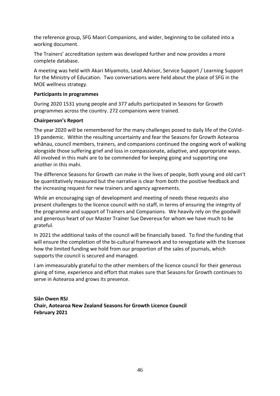the reference group, SFG Maori Companions, and wider, beginning to be collated into a working document.

The Trainers' accreditation system was developed further and now provides a more complete database.

A meeting was held with Akari Miyamoto, Lead Advisor, Service Support / Learning Support for the Ministry of Education. Two conversations were held about the place of SFG in the MOE wellness strategy.

#### **Participants in programmes**

During 2020 1531 young people and 377 adults participated in Seasons for Growth programmes across the country. 272 companions were trained.

#### **Chairperson's Report**

The year 2020 will be remembered for the many challenges posed to daily life of the CoVid-19 pandemic. Within the resulting uncertainty and fear the Seasons for Growth Aotearoa whānau, council members, trainers, and companions continued the ongoing work of walking alongside those suffering grief and loss in compassionate, adaptive, and appropriate ways. All involved in this mahi are to be commended for keeping going and supporting one another in this mahi.

The difference Seasons for Growth can make in the lives of people, both young and old can't be quantitatively measured but the narrative is clear from both the positive feedback and the increasing request for new trainers and agency agreements.

While an encouraging sign of development and meeting of needs these requests also present challenges to the licence council with no staff, in terms of ensuring the integrity of the programme and support of Trainers and Companions. We heavily rely on the goodwill and generous heart of our Master Trainer Sue Devereux for whom we have much to be grateful.

In 2021 the additional tasks of the council will be financially based. To find the funding that will ensure the completion of the bi-cultural framework and to renegotiate with the licensee how the limited funding we hold from our proportion of the sales of journals, which supports the council is secured and managed.

I am immeasurably grateful to the other members of the licence council for their generous giving of time, experience and effort that makes sure that Seasons for Growth continues to serve in Aotearoa and grows its presence.

**Siân Owen RSJ Chair, Aotearoa New Zealand Seasons for Growth Licence Council February 2021**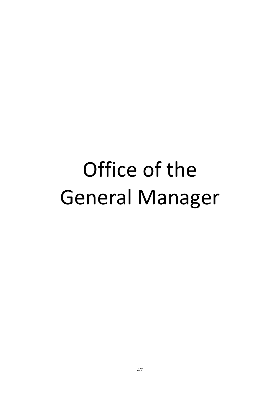# Office of the General Manager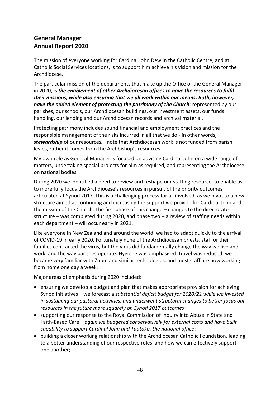# **General Manager Annual Report 2020**

The mission of everyone working for Cardinal John Dew in the Catholic Centre, and at Catholic Social Services locations, is to support him achieve his vision and mission for the Archdiocese.

The particular mission of the departments that make up the Office of the General Manager in 2020, is *the enablement of other Archdiocesan offices to have the resources to fulfil their missions, while also ensuring that we all work within our means. Both, however, have the added element of protecting the patrimony of the Church*: represented by our parishes, our schools, our Archdiocesan buildings, our investment assets, our funds handling, our lending and our Archdiocesan records and archival material.

Protecting patrimony includes sound financial and employment practices and the responsible management of the risks incurred in all that we do - in other words, *stewardship* of our resources*.* I note that Archdiocesan work is not funded from parish levies, rather it comes from the Archbishop's resources.

My own role as General Manager is focused on advising Cardinal John on a wide range of matters, undertaking special projects for him as required, and representing the Archdiocese on national bodies.

During 2020 we identified a need to review and reshape our staffing resource, to enable us to more fully focus the Archdiocese's resources in pursuit of the priority outcomes articulated at Synod 2017. This is a challenging process for all involved, as we pivot to a new structure aimed at continuing and increasing the support we provide for Cardinal John and the mission of the Church. The first phase of this change – changes to the directorate structure – was completed during 2020, and phase two – a review of staffing needs within each department – will occur early in 2021.

Like everyone in New Zealand and around the world, we had to adapt quickly to the arrival of COVID-19 in early 2020. Fortunately none of the Archdiocesan priests, staff or their families contracted the virus, but the virus did fundamentally change the way we live and work, and the way parishes operate. Hygiene was emphasised, travel was reduced, we became very familiar with Zoom and similar technologies, and most staff are now working from home one day a week.

Major areas of emphasis during 2020 included:

- ensuring we develop a budget and plan that makes appropriate provision for achieving Synod initiatives – we forecast a *substantial deficit budget for 2020/21 while we invested in sustaining our pastoral activities, and underwent structural changes to better focus our resources in the future more squarely on Synod 2017 outcomes*;
- supporting our response to the Royal Commission of Inquiry into Abuse in State and Faith-Based Care – *again we budgeted conservatively for external costs and have built capability to support Cardinal John and Tautoko, the national office*;
- building a closer working relationship with the Archdiocesan Catholic Foundation, leading to a better understanding of our respective roles, and how we can effectively support one another;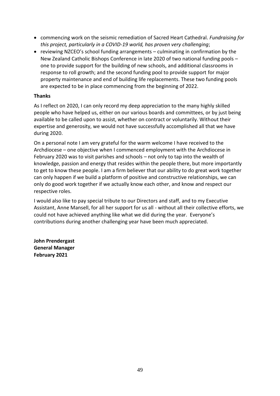- commencing work on the seismic remediation of Sacred Heart Cathedral. *Fundraising for this project, particularly in a COVID-19 world, has proven very challenging*;
- reviewing NZCEO's school funding arrangements culminating in confirmation by the New Zealand Catholic Bishops Conference in late 2020 of two national funding pools – one to provide support for the building of new schools, and additional classrooms in response to roll growth; and the second funding pool to provide support for major property maintenance and end of building life replacements. These two funding pools are expected to be in place commencing from the beginning of 2022.

#### **Thanks**

As I reflect on 2020, I can only record my deep appreciation to the many highly skilled people who have helped us, either on our various boards and committees, or by just being available to be called upon to assist, whether on contract or voluntarily. Without their expertise and generosity, we would not have successfully accomplished all that we have during 2020.

On a personal note I am very grateful for the warm welcome I have received to the Archdiocese – one objective when I commenced employment with the Archdiocese in February 2020 was to visit parishes and schools – not only to tap into the wealth of knowledge, passion and energy that resides within the people there, but more importantly to get to know these people. I am a firm believer that our ability to do great work together can only happen if we build a platform of positive and constructive relationships, we can only do good work together if we actually know each other, and know and respect our respective roles.

I would also like to pay special tribute to our Directors and staff, and to my Executive Assistant, Anne Mansell, for all her support for us all - without all their collective efforts, we could not have achieved anything like what we did during the year. Everyone's contributions during another challenging year have been much appreciated.

**John Prendergast General Manager February 2021**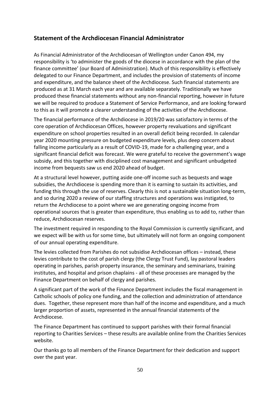### **Statement of the Archdiocesan Financial Administrator**

As Financial Administrator of the Archdiocesan of Wellington under Canon 494, my responsibility is 'to administer the goods of the diocese in accordance with the plan of the finance committee' (our Board of Administration). Much of this responsibility is effectively delegated to our Finance Department, and includes the provision of statements of income and expenditure, and the balance sheet of the Archdiocese. Such financial statements are produced as at 31 March each year and are available separately. Traditionally we have produced these financial statements without any non-financial reporting, however in future we will be required to produce a Statement of Service Performance, and are looking forward to this as it will promote a clearer understanding of the activities of the Archdiocese.

The financial performance of the Archdiocese in 2019/20 was satisfactory in terms of the core operation of Archdiocesan Offices, however property revaluations and significant expenditure on school properties resulted in an overall deficit being recorded. In calendar year 2020 mounting pressure on budgeted expenditure levels, plus deep concern about falling income particularly as a result of COVID-19, made for a challenging year, and a significant financial deficit was forecast. We were grateful to receive the government's wage subsidy, and this together with disciplined cost management and significant unbudgeted income from bequests saw us end 2020 ahead of budget.

At a structural level however, putting aside one-off income such as bequests and wage subsidies, the Archdiocese is spending more than it is earning to sustain its activities, and funding this through the use of reserves. Clearly this is not a sustainable situation long-term, and so during 2020 a review of our staffing structures and operations was instigated, to return the Archdiocese to a point where we are generating ongoing income from operational sources that is greater than expenditure, thus enabling us to add to, rather than reduce, Archdiocesan reserves.

The investment required in responding to the Royal Commission is currently significant, and we expect will be with us for some time, but ultimately will not form an ongoing component of our annual operating expenditure.

The levies collected from Parishes do not subsidise Archdiocesan offices – instead, these levies contribute to the cost of parish clergy (the Clergy Trust Fund), lay pastoral leaders operating in parishes, parish property insurance, the seminary and seminarians, training institutes, and hospital and prison chaplains - all of these processes are managed by the Finance Department on behalf of clergy and parishes.

A significant part of the work of the Finance Department includes the fiscal management in Catholic schools of policy one funding, and the collection and administration of attendance dues. Together, these represent more than half of the income and expenditure, and a much larger proportion of assets, represented in the annual financial statements of the Archdiocese.

The Finance Department has continued to support parishes with their formal financial reporting to Charities Services – these results are available online from the Charities Services website.

Our thanks go to all members of the Finance Department for their dedication and support over the past year.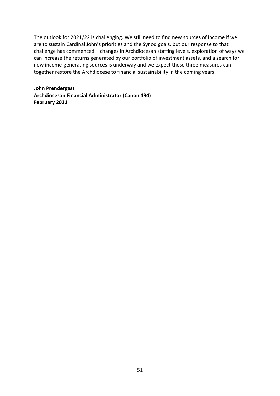The outlook for 2021/22 is challenging. We still need to find new sources of income if we are to sustain Cardinal John's priorities and the Synod goals, but our response to that challenge has commenced – changes in Archdiocesan staffing levels, exploration of ways we can increase the returns generated by our portfolio of investment assets, and a search for new income-generating sources is underway and we expect these three measures can together restore the Archdiocese to financial sustainability in the coming years.

**John Prendergast Archdiocesan Financial Administrator (Canon 494) February 2021**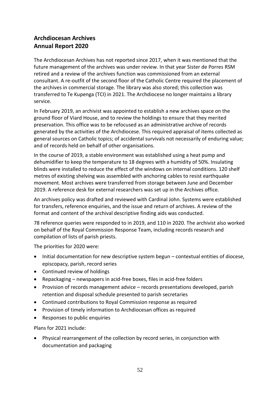# **Archdiocesan Archives Annual Report 2020**

The Archdiocesan Archives has not reported since 2017, when it was mentioned that the future management of the archives was under review. In that year Sister de Porres RSM retired and a review of the archives function was commissioned from an external consultant. A re-outfit of the second floor of the Catholic Centre required the placement of the archives in commercial storage. The library was also stored; this collection was transferred to Te Kupenga (TCI) in 2021. The Archdiocese no longer maintains a library service.

In February 2019, an archivist was appointed to establish a new archives space on the ground floor of Viard House, and to review the holdings to ensure that they merited preservation. This office was to be refocused as an administrative archive of records generated by the activities of the Archdiocese. This required appraisal of items collected as general sources on Catholic topics; of accidental survivals not necessarily of enduring value; and of records held on behalf of other organisations.

In the course of 2019, a stable environment was established using a heat pump and dehumidifier to keep the temperature to 18 degrees with a humidity of 50%. Insulating blinds were installed to reduce the effect of the windows on internal conditions. 120 shelf metres of existing shelving was assembled with anchoring cables to resist earthquake movement. Most archives were transferred from storage between June and December 2019. A reference desk for external researchers was set up in the Archives office.

An archives policy was drafted and reviewed with Cardinal John. Systems were established for transfers, reference enquiries, and the issue and return of archives. A review of the format and content of the archival descriptive finding aids was conducted.

78 reference queries were responded to in 2019, and 110 in 2020. The archivist also worked on behalf of the Royal Commission Response Team, including records research and compilation of lists of parish priests.

The priorities for 2020 were:

- Initial documentation for new descriptive system begun contextual entities of diocese, episcopacy, parish, record series
- Continued review of holdings
- Repackaging newspapers in acid-free boxes, files in acid-free folders
- Provision of records management advice records presentations developed, parish retention and disposal schedule presented to parish secretaries
- Continued contributions to Royal Commission response as required
- Provision of timely information to Archdiocesan offices as required
- Responses to public enquiries

Plans for 2021 include:

• Physical rearrangement of the collection by record series, in conjunction with documentation and packaging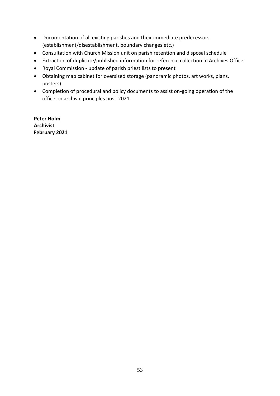- Documentation of all existing parishes and their immediate predecessors (establishment/disestablishment, boundary changes etc.)
- Consultation with Church Mission unit on parish retention and disposal schedule
- Extraction of duplicate/published information for reference collection in Archives Office
- Royal Commission update of parish priest lists to present
- Obtaining map cabinet for oversized storage (panoramic photos, art works, plans, posters)
- Completion of procedural and policy documents to assist on-going operation of the office on archival principles post-2021.

**Peter Holm Archivist February 2021**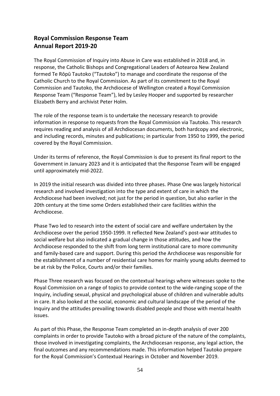### **Royal Commission Response Team Annual Report 2019-20**

The Royal Commission of Inquiry into Abuse in Care was established in 2018 and, in response, the Catholic Bishops and Congregational Leaders of Aotearoa New Zealand formed Te Rōpū Tautoko ("Tautoko") to manage and coordinate the response of the Catholic Church to the Royal Commission. As part of its commitment to the Royal Commission and Tautoko, the Archdiocese of Wellington created a Royal Commission Response Team ("Response Team"), led by Lesley Hooper and supported by researcher Elizabeth Berry and archivist Peter Holm.

The role of the response team is to undertake the necessary research to provide information in response to requests from the Royal Commission via Tautoko. This research requires reading and analysis of all Archdiocesan documents, both hardcopy and electronic, and including records, minutes and publications; in particular from 1950 to 1999, the period covered by the Royal Commission.

Under its terms of reference, the Royal Commission is due to present its final report to the Government in January 2023 and it is anticipated that the Response Team will be engaged until approximately mid-2022.

In 2019 the initial research was divided into three phases. Phase One was largely historical research and involved investigation into the type and extent of care in which the Archdiocese had been involved; not just for the period in question, but also earlier in the 20th century at the time some Orders established their care facilities within the Archdiocese.

Phase Two led to research into the extent of social care and welfare undertaken by the Archdiocese over the period 1950-1999. It reflected New Zealand's post-war attitudes to social welfare but also indicated a gradual change in those attitudes, and how the Archdiocese responded to the shift from long term institutional care to more community and family-based care and support. During this period the Archdiocese was responsible for the establishment of a number of residential care homes for mainly young adults deemed to be at risk by the Police, Courts and/or their families.

Phase Three research was focused on the contextual hearings where witnesses spoke to the Royal Commission on a range of topics to provide context to the wide-ranging scope of the Inquiry, including sexual, physical and psychological abuse of children and vulnerable adults in care. It also looked at the social, economic and cultural landscape of the period of the Inquiry and the attitudes prevailing towards disabled people and those with mental health issues.

As part of this Phase, the Response Team completed an in-depth analysis of over 200 complaints in order to provide Tautoko with a broad picture of the nature of the complaints, those involved in investigating complaints, the Archdiocesan response, any legal action, the final outcomes and any recommendations made. This information helped Tautoko prepare for the Royal Commission's Contextual Hearings in October and November 2019.